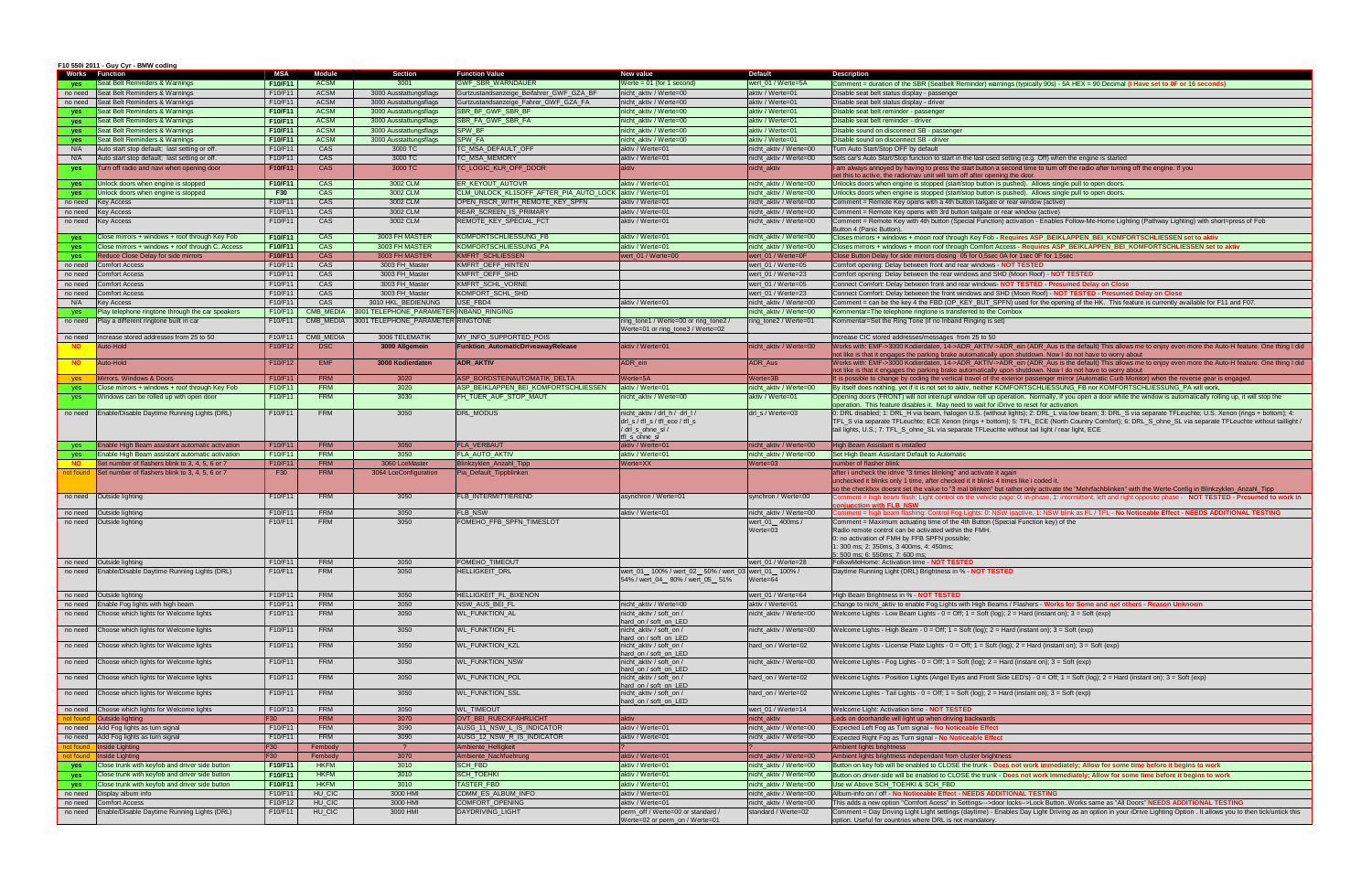| F10 550i 2011 - Guy Cyr - BMW coding                         |            |               |                                         |                                                         |                                                                     |                            |                                                                                                                                                                                                                                                                                                                       |
|--------------------------------------------------------------|------------|---------------|-----------------------------------------|---------------------------------------------------------|---------------------------------------------------------------------|----------------------------|-----------------------------------------------------------------------------------------------------------------------------------------------------------------------------------------------------------------------------------------------------------------------------------------------------------------------|
| <b>Works Function</b>                                        | <b>MSA</b> | <b>Module</b> | <b>Section</b>                          | <b>Function Value</b>                                   | New value                                                           | <b>Default</b>             | <b>Description</b>                                                                                                                                                                                                                                                                                                    |
| Seat Belt Reminders & Warnings<br>yes                        | F10/F11    | <b>ACSM</b>   | 3001                                    | <b>GWF SBR WARNDAUER</b>                                | Werte = $01$ (for 1 second)                                         | wert_01 / Werte=5A         | Comment = duration of the SBR (Seatbelt Reminder) warnings (typically 90s) - 5A HEX = 90 Decimal (I Have set to 0F or 16 seconds)                                                                                                                                                                                     |
| Seat Belt Reminders & Warnings<br>no need                    | F10/F11    | <b>ACSM</b>   | 3000 Ausstattungsflags                  | Gurtzustandsanzeige Beifahrer GWF GZA BF                | nicht aktiv / Werte=00                                              | aktiv / Werte=01           | Disable seat belt status display - passenger                                                                                                                                                                                                                                                                          |
| Seat Belt Reminders & Warnings<br>no need                    | F10/F11    | <b>ACSM</b>   | 3000 Ausstattungsflags                  | Gurtzustandsanzeige Fahrer GWF GZA FA                   | nicht aktiv / Werte=00                                              | aktiv / Werte=01           | Disable seat belt status display - driver                                                                                                                                                                                                                                                                             |
| Seat Belt Reminders & Warnings<br><b>ves</b>                 | F10/F11    | <b>ACSM</b>   | 3000 Ausstattungsflags                  | SBR_BF_GWF_SBR_BF                                       | nicht_aktiv / Werte=00                                              | aktiv / Werte=01           | Disable seat belt reminder - passenger                                                                                                                                                                                                                                                                                |
|                                                              |            |               |                                         |                                                         |                                                                     |                            |                                                                                                                                                                                                                                                                                                                       |
| Seat Belt Reminders & Warnings<br><b>ves</b>                 | F10/F11    | <b>ACSM</b>   | 3000 Ausstattungsflags                  | SBR_FA_GWF_SBR_FA                                       | nicht aktiv / Werte=00                                              | aktiv / Werte=01           | Disable seat belt reminder - driver                                                                                                                                                                                                                                                                                   |
| Seat Belt Reminders & Warnings<br>yes                        | F10/F11    | <b>ACSM</b>   | 3000 Ausstattungsflags                  | SPW_BF                                                  | nicht_aktiv / Werte=00                                              | aktiv / Werte=01           | Disable sound on disconnect SB - passenger                                                                                                                                                                                                                                                                            |
| Seat Belt Reminders & Warnings<br>yes                        | F10/F11    | <b>ACSM</b>   | 3000 Ausstattungsflags                  | <b>SPW FA</b>                                           | nicht aktiv / Werte=00                                              | aktiv / Werte=01           | Disable sound on disconnect SB - driver                                                                                                                                                                                                                                                                               |
| N/A<br>Auto start stop default; last setting or off.         | F10/F11    | CAS           | 3000 TC                                 | TC_MSA_DEFAULT_OFF                                      | aktiv / Werte=01                                                    | nicht_aktiv / Werte=00     | Turn Auto Start/Stop OFF by default                                                                                                                                                                                                                                                                                   |
| Auto start stop default; last setting or off<br>N/A          | F10/F11    | CAS           | 3000 TC                                 | TC MSA MEMORY                                           | aktiv / Werte=01                                                    | nicht_aktiv / Werte=00     | Sets car's Auto Start/Stop function to start in the last used setting (e.g. Off) when the engine is started                                                                                                                                                                                                           |
| Furn off radio and navi when opening door<br>yes             | F10/F11    | <b>CAS</b>    | 3000 TC                                 | TC_LOGIC_KLR_OFF_DOOR                                   | <b>aktiv</b>                                                        | nicht aktiv                | I am always annoyed by having to press the start button a second time to turn off the radio after turning off the engine. If you                                                                                                                                                                                      |
|                                                              |            |               |                                         |                                                         |                                                                     |                            | set this to active, the radio/nav unit will turn off after opening the door.                                                                                                                                                                                                                                          |
| Unlock doors when engine is stopped<br>yes                   | F10/F11    | CAS           | 3002 CLM                                | ER KEYOUT AUTOVR                                        | aktiv / Werte=01                                                    | nicht aktiv / Werte=00     | Unlocks doors when engine is stopped (start/stop button is pushed). Allows single pull to open doors.                                                                                                                                                                                                                 |
| Unlock doors when engine is stopped                          | <b>F30</b> | CAS           | 3002 CLM                                | CLM_UNLOCK_KL15OFF_AFTER_PIA_AUTO_LOCK aktiv / Werte=01 |                                                                     | nicht_aktiv / Werte=00     | Unlocks doors when engine is stopped (start/stop button is pushed). Allows single pull to open doors.                                                                                                                                                                                                                 |
| yes                                                          |            | CAS           |                                         |                                                         |                                                                     |                            |                                                                                                                                                                                                                                                                                                                       |
| <b>Key Access</b><br>no need                                 | F10/F11    |               | 3002 CLM                                | OPEN_RSCR_WITH_REMOTE_KEY_SPFN                          | aktiv / Werte=01                                                    | nicht aktiv / Werte=00     | Comment = Remote Key opens with a 4th button tailgate or rear window (active)                                                                                                                                                                                                                                         |
| <b>Key Access</b><br>no need                                 | F10/F11    | CAS           | 3002 CLM                                | <b>REAR SCREEN IS PRIMARY</b>                           | aktiv / Werte=01                                                    | nicht aktiv / Werte=00     | Comment = Remote Key opens with 3rd button tailgate or rear window (active)                                                                                                                                                                                                                                           |
| <b>Key Access</b><br>no need                                 | F10/F11    | CAS           | 3002 CLM                                | REMOTE KEY SPECIAL FCT                                  | aktiv / Werte=01                                                    | nicht aktiv / Werte=00     | Comment = Remote Key with 4th button (Special Function) activation - Enables Follow-Me-Home Lighting (Pathway Lighting) with short=press of Fob                                                                                                                                                                       |
|                                                              |            |               |                                         |                                                         |                                                                     |                            | Button 4 (Panic Button)                                                                                                                                                                                                                                                                                               |
| Close mirrors + windows + roof through Key Fob<br>yes        | F10/F11    | CAS           | 3003 FH MASTER                          | KOMFORTSCHLIESSUNG FB                                   | aktiv / Werte=01                                                    | nicht aktiv / Werte=00     | Closes mirrors + windows + moon roof through Key Fob - Requires ASP_BEIKLAPPEN_BEI_KOMFORTSCHLIESSEN set to aktiv                                                                                                                                                                                                     |
| Close mirrors + windows + roof through C. Access<br>yes      | F10/F11    | CAS           | 3003 FH MASTER                          | KOMFORTSCHLIESSUNG PA                                   | aktiv / Werte=01                                                    | nicht_aktiv / Werte=00     | Closes mirrors + windows + moon roof through Comfort Access - Requires ASP_BEIKLAPPEN_BEI_KOMFORTSCHLIESSEN set to aktiv                                                                                                                                                                                              |
| <b>Reduce Close Delay for side mirrors</b><br><b>ves</b>     | F10/F11    | <b>CAS</b>    | 3003 FH MASTER                          | KMFRT SCHLIESSEN                                        | wert 01 / Werte=00                                                  | wert 01 / Werte=0F         | Close Button Delay for side mirrors closing 05 for 0,5sec 0A for 1sec 0F for 1,5sec                                                                                                                                                                                                                                   |
| <b>Comfort Access</b><br>no need                             | F10/F11    | CAS           | 3003 FH Master                          | KMFRT OEFF HINTEN                                       |                                                                     | wert_01 / Werte=05         | Comfort opening: Delay between front and rear windows - NOT TESTED                                                                                                                                                                                                                                                    |
|                                                              |            | CAS           |                                         | KMFRT OEFF SHD                                          |                                                                     |                            |                                                                                                                                                                                                                                                                                                                       |
| <b>Comfort Access</b><br>no need                             | F10/F11    |               | 3003 FH Master                          |                                                         |                                                                     | wert_01 / Werte=23         | Comfort opening: Delay between the rear windows and SHD (Moon Roof) - NOT TESTED                                                                                                                                                                                                                                      |
| <b>Comfort Access</b><br>no need                             | F10/F11    | CAS           | 3003 FH Master                          | <b>KMFRT SCHL VORNE</b>                                 |                                                                     | wert_01 / Werte=05         | Connect Comfort: Delay between front and rear windows- NOT TESTED - Presumed Delay on Close                                                                                                                                                                                                                           |
| <b>Comfort Access</b><br>no need                             | F10/F11    | CAS           | 3003 FH_Master                          | KOMFORT SCHL SHD                                        |                                                                     | wert_01 / Werte=23         | Connect Comfort: Delay between the front windows and SHD (Moon Roof) - NOT TESTED - Presumed Delay on Close                                                                                                                                                                                                           |
| N/A<br><b>Key Access</b>                                     | F10/F11    | CAS           | 3010 HKL BEDIENUNG                      | USE FBD4                                                | aktiv / Werte=01                                                    | nicht aktiv / Werte=00     | Comment = can be the key 4 the FBD (OP KEY BUT SPFN) used for the opening of the HK. This feature is currently available for F11 and F07.                                                                                                                                                                             |
| Play telephone ringtone through the car speakers<br>yes      | F10/F11    | CMB MEDIA     | 3001 TELEPHONE PARAMETER INBAND RINGING |                                                         |                                                                     | nicht aktiv / Werte=00     | Kommentar=The telephone ringtone is transferred to the Combox                                                                                                                                                                                                                                                         |
| Play a different ringtone built in car<br>no need            | F10/F11    | CMB MEDIA     | 3001 TELEPHONE PARAMETER RINGTONE       |                                                         | ring_tone1 / Werte=00 or ring_tone2 /                               | ring_tone2 / Werte=01      | Kommentar=Set the Ring Tone (if no Inband Ringing is set)                                                                                                                                                                                                                                                             |
|                                                              |            |               |                                         |                                                         | Werte=01 or ring tone3 / Werte=02                                   |                            |                                                                                                                                                                                                                                                                                                                       |
| Increase stored addresses from 25 to 50<br>no need           | F10/F11    | CMB MEDIA     | 3006 TELEMATIK                          | MY_INFO_SUPPORTED_POIS                                  |                                                                     |                            | Increase CIC stored addresses/messages from 25 to 50                                                                                                                                                                                                                                                                  |
| Auto-Hold                                                    | F10/F12    | <b>DSC</b>    |                                         | <b>Funktion AutomaticDriveawayRelease</b>               | aktiv / Werte=01                                                    | nicht aktiv / Werte=00     | Works with: EMF->3000 Kodierdaten, 14->ADR AKTIV->ADR ein (ADR Aus is the default) This allows me to enjoy even more the Auto-H feature. One thing I did                                                                                                                                                              |
| <b>NO</b>                                                    |            |               | 3000 Allgemein                          |                                                         |                                                                     |                            |                                                                                                                                                                                                                                                                                                                       |
| Auto-Hold<br><b>NO</b>                                       | F10/F12    | <b>EMF</b>    | 3000 Kodierdaten                        | <b>ADR AKTIV</b>                                        | ADR ein                                                             | ADR_Aus                    | oot like is that it engages the parking brake automatically upon shutdown. Now I do not have to worry about<br>Works with: EMF->3000 Kodierdaten, 14->ADR_AKTIV->ADR_ein (ADR_Aus is the default) This allows me to enjoy even more the Auto-H feature. One thing I did                                               |
|                                                              |            |               |                                         |                                                         |                                                                     |                            | not like is that it engages the parking brake automatically upon shutdown. Now I do not have to worry about                                                                                                                                                                                                           |
| Mirrors, Windows & Doors                                     | F10/F1     | <b>FRM</b>    | 3020                                    | ASP BORDSTEINAUTOMATIK DELTA                            | Werte=5A                                                            | Werte=3B                   | It is possible to change by coding the vertical travel of the exterior passenger mirror (Automatic Curb Monitor) when the reverse gear is engaged.                                                                                                                                                                    |
| yes                                                          |            |               |                                         |                                                         |                                                                     |                            | By itself does nothing, yet if it is not set to aktiv, neither KOMFORTSCHLIESSUNG FB nor KOMFORTSCHLIESSUNG PA will work,                                                                                                                                                                                             |
| Close mirrors + windows + roof through Key Fob<br>yes        | F10/F11    | <b>FRM</b>    | 3020                                    | ASP_BEIKLAPPEN_BEI_KOMFORTSCHLIESSEN                    | aktiv / Werte=01                                                    | nicht_aktiv / Werte=00     |                                                                                                                                                                                                                                                                                                                       |
| Windows can be rolled up with open door<br>yes               | F10/F11    | <b>FRM</b>    | 3030                                    | FH TUER_AUF_STOP_MAUT                                   | nicht aktiv / Werte=00                                              | aktiv / Werte=01           | Opening doors (FRONT) will not interrupt window roll up operation. Normally, if you open a door while the window is automatically rolling up, it will stop the                                                                                                                                                        |
|                                                              |            |               |                                         |                                                         |                                                                     |                            | operation. This feature disables it. May need to wait for iDrive to reset for activation                                                                                                                                                                                                                              |
| Enable/Disable Daytime Running Lights (DRL)<br>no need       | F10/F11    | <b>FRM</b>    | 3050                                    | <b>DRL MODUS</b>                                        | nicht_aktiv / drl_h / drl_l /                                       | drl_s / Werte=03           | 0: DRL disabled; 1: DRL_H via beam, halogen U.S. (without lights); 2: DRL_L via low beam; 3: DRL_S via separate TFLeuchte; U.S. Xenon (rings + bottom); 4:                                                                                                                                                            |
|                                                              |            |               |                                         |                                                         | $drl$ <sub>_S</sub> / tfl_s / tfl_ece / tfl_s                       |                            | TFL_S via separate TFLeuchte; ECE Xenon (rings + bottom); 5: TFL_ECE (North Country Comfort); 6: DRL_S_ohne_SL via separate TFLeuchte without taillight /                                                                                                                                                             |
|                                                              |            |               |                                         |                                                         | / drl_s_ohne_sl /                                                   |                            | tail lights, U.S.; 7: TFL_S_ohne_SL via separate TFLeuchte without tail light / rear light, ECE                                                                                                                                                                                                                       |
|                                                              |            |               |                                         |                                                         | fl s ohne sl                                                        |                            |                                                                                                                                                                                                                                                                                                                       |
| Enable High Beam assistant automatic activatior              | F10/F11    | <b>FRM</b>    | 3050                                    | <b>FLA VERBAUT</b>                                      | aktiv / Werte=01                                                    | nicht_aktiv / Werte=00     | High Beam Assistant is installed                                                                                                                                                                                                                                                                                      |
|                                                              |            |               |                                         |                                                         |                                                                     |                            |                                                                                                                                                                                                                                                                                                                       |
| Enable High Beam assistant automatic activation<br>yes       | F10/F11    | <b>FRM</b>    | 3050                                    | FLA_AUTO_AKTIV                                          | aktiv / Werte=01                                                    | nicht_aktiv / Werte=00     | Set High Beam Assistant Default to Automatic                                                                                                                                                                                                                                                                          |
| Set number of flashers blink to 3, 4, 5, 6 or 7<br><b>NO</b> | F10/F11    | <b>FRM</b>    | 3060 LceMaster                          | Blinkzyklen_Anzahl_Tipp                                 | Werte=XX                                                            | $W$ erte=03                | number of flasher blink                                                                                                                                                                                                                                                                                               |
| not found Set number of flashers blink to 3, 4, 5, 6 or 7    | F30        | <b>FRM</b>    | 3064 LceConfiguration                   | Pia_Default_Tippblinken                                 |                                                                     |                            | after i uncheck the idrive "3 times blinking" and activate it again                                                                                                                                                                                                                                                   |
|                                                              |            |               |                                         |                                                         |                                                                     |                            | unchecked it blinks only 1 time, after checked it it blinks 4 times like i coded it                                                                                                                                                                                                                                   |
|                                                              |            |               |                                         |                                                         |                                                                     |                            |                                                                                                                                                                                                                                                                                                                       |
| no need Outside lighting                                     | F10/F11    | <b>FRM</b>    | 3050                                    | FLB INTERMITTIEREND                                     | asynchron / Werte=01                                                | synchron / Werte=00        | o the checkbox doesnt set the value to "3 mal blinken" but rather only activate the "Mehrfachblinken" with the Werte-Config in Blinkzyklen_Anzahl_Tipp<br>omment = high beam flash: Light control on the vehicle page: 0: in-phase, 1: intermittent, left and right opposite phase - NOT TESTED - Presumed to work in |
|                                                              |            |               |                                         |                                                         |                                                                     |                            | oniunction with FLB NSW                                                                                                                                                                                                                                                                                               |
| Outside lighting<br>no need                                  | F10/F1'    | <b>FRM</b>    | 3050                                    | <b>FLB NSW</b>                                          | aktiv / Werte=01                                                    | nicht aktiv / Werte=00     | mment = high beam flashing: Control Fog Lights: 0: NSW inactive, 1: NSW blink as FL / TFL - No Noticeable Effect - NEEDS ADDITIONAL TESTING                                                                                                                                                                           |
|                                                              | F10/F11    | <b>FRM</b>    | 3050                                    |                                                         |                                                                     |                            |                                                                                                                                                                                                                                                                                                                       |
| Outside lighting<br>no need                                  |            |               |                                         | FOMEHO_FFB_SPFN_TIMESLOT                                |                                                                     | wert_01_400ms/<br>Werte=03 | Comment = Maximum actuating time of the 4th Button (Special Function key) of the<br>Radio remote control can be activated within the FMH.                                                                                                                                                                             |
|                                                              |            |               |                                         |                                                         |                                                                     |                            |                                                                                                                                                                                                                                                                                                                       |
|                                                              |            |               |                                         |                                                         |                                                                     |                            | 0: no activation of FMH by FFB SPFN possible;                                                                                                                                                                                                                                                                         |
|                                                              |            |               |                                         |                                                         |                                                                     |                            | : 300 ms; 2: 350ms, 3 400ms, 4: 450ms;                                                                                                                                                                                                                                                                                |
|                                                              | F10/F11    | <b>FRM</b>    | 3050                                    | <b>FOMEHO TIMEOUT</b>                                   |                                                                     |                            | 5: 500 ms; 6: 550ms; 7: 600 ms;<br>FollowMeHome: Activation time - NOT TESTED                                                                                                                                                                                                                                         |
| no need   Outside lighting                                   |            |               |                                         |                                                         |                                                                     | wert_01 / Werte=28         |                                                                                                                                                                                                                                                                                                                       |
| Enable/Disable Daytime Running Lights (DRL)<br>no need       | F10/F11    | <b>FRM</b>    | 3050                                    | <b>HELLIGKEIT_DRL</b>                                   | wert_01_ 100% / wert_02_ 50% / wert_03 wert_01_ 100% /              |                            | Daytime Running Light (DRL) Brightness in % - NOT TESTED                                                                                                                                                                                                                                                              |
|                                                              |            |               |                                         |                                                         | 54% / wert_04_80% / wert_05_51%                                     | Werte=64                   |                                                                                                                                                                                                                                                                                                                       |
|                                                              |            | <b>FRM</b>    |                                         |                                                         |                                                                     |                            |                                                                                                                                                                                                                                                                                                                       |
| no need<br>Outside lighting                                  | F10/F11    |               | 3050                                    | HELLIGKEIT FL BIXENON                                   |                                                                     | wert_01 / Werte=64         | High Beam Brightness in % NOT TESTED                                                                                                                                                                                                                                                                                  |
| Enable Fog lights with high beam<br>no need                  | F10/F11    | <b>FRM</b>    | 3050                                    | NSW_AUS_BEI_FL                                          | nicht_aktiv / Werte=00                                              | aktiv / Werte=01           | Change to nicht_aktiv to enable Fog Lights with High Beams / Flashers - Works for Some and not others - Reason Unknown                                                                                                                                                                                                |
| Choose which lights for Welcome lights<br>no need            | F10/F11    | <b>FRM</b>    | 3050                                    | <b>WL_FUNKTION_AL</b>                                   | nicht aktiv / soft on /                                             | nicht_aktiv / Werte=00     | Welcome Lights - Low Beam Lights - $0 = \text{Off}$ ; 1 = Soft (log); 2 = Hard (instant on); 3 = Soft (exp)                                                                                                                                                                                                           |
|                                                              |            |               |                                         |                                                         | hard on / soft on LED                                               |                            |                                                                                                                                                                                                                                                                                                                       |
| Choose which lights for Welcome lights<br>no need            | F10/F11    | <b>FRM</b>    | 3050                                    | WL_FUNKTION_FL                                          | nicht_aktiv / soft_on /                                             | nicht_aktiv / Werte=00     | Nelcome Lights - High Beam - $0 =$ Off; $1 =$ Soft (log); $2 =$ Hard (instant on); $3 =$ Soft (exp)                                                                                                                                                                                                                   |
|                                                              |            |               |                                         |                                                         | hard on / soft on LED                                               |                            |                                                                                                                                                                                                                                                                                                                       |
| Choose which lights for Welcome lights<br>no need            | F10/F11    | <b>FRM</b>    | 3050                                    | <b>WL_FUNKTION_KZL</b>                                  | nicht aktiv / soft on /                                             | hard on / Werte=02         | Welcome Lights - License Plate Lights - $0 = \text{Off}$ ; 1 = Soft (log); 2 = Hard (instant on); 3 = Soft (exp)                                                                                                                                                                                                      |
|                                                              |            |               |                                         |                                                         | hard on / soft on LED                                               |                            |                                                                                                                                                                                                                                                                                                                       |
| Choose which lights for Welcome lights<br>no need            | F10/F11    | <b>FRM</b>    | 3050                                    | WL_FUNKTION_NSW                                         | nicht_aktiv / soft_on /                                             | nicht_aktiv / Werte=00     | Welcome Lights - Fog Lights - $0 =$ Off; $1 =$ Soft (log); $2 =$ Hard (instant on); $3 =$ Soft (exp)                                                                                                                                                                                                                  |
|                                                              |            |               |                                         |                                                         | hard on / soft on LED                                               |                            |                                                                                                                                                                                                                                                                                                                       |
| Choose which lights for Welcome lights<br>no need            | F10/F11    | <b>FRM</b>    | 3050                                    | WL_FUNKTION_POL                                         | nicht_aktiv / soft_on /                                             | hard on / Werte=02         | Welcome Lights - Position Lights (Angel Eyes and Front Side LED's) - 0 = Off; 1 = Soft (log); 2 = Hard (instant on); 3 = Soft (exp)                                                                                                                                                                                   |
| Choose which lights for Welcome lights<br>no need            | F10/F11    | <b>FRM</b>    | 3050                                    | <b>WL_FUNKTION_SSL</b>                                  | hard_on / soft_on_LED<br>nicht_aktiv / soft_on /                    | hard_on / Werte=02         | Welcome Lights - Tail Lights - $0 = \text{Off}$ ; 1 = Soft (log); 2 = Hard (instant on); 3 = Soft (exp)                                                                                                                                                                                                               |
|                                                              |            |               |                                         |                                                         | hard_on / soft_on_LED                                               |                            |                                                                                                                                                                                                                                                                                                                       |
| Choose which lights for Welcome lights<br>no need            | F10/F11    | <b>FRM</b>    | 3050                                    | <b>WL_TIMEOUT</b>                                       |                                                                     | wert_01 / Werte=14         | Welcome Light: Activation time - NOT TESTED                                                                                                                                                                                                                                                                           |
| not found                                                    |            | <b>FRM</b>    |                                         | <b>OVT BEI RUECKFAHRLICHT</b>                           | aktiv                                                               |                            |                                                                                                                                                                                                                                                                                                                       |
| Outside lighting                                             | <b>F30</b> |               | 3070                                    |                                                         |                                                                     | nicht_aktiv                | Leds on doorhandle will light up when driving backwards                                                                                                                                                                                                                                                               |
| Add Fog lights as turn signal<br>no need                     | F10/F1'    | <b>FRM</b>    | 3090                                    | AUSG 11 NSW L IS INDICATOR                              | aktiv / Werte=01                                                    | nicht aktiv / Werte=00     | Expected Left Fog as Turn signal - No Noticeable Effect                                                                                                                                                                                                                                                               |
| no need<br>Add Fog lights as turn signal                     | F10/F11    | <b>FRM</b>    | 3090                                    | AUSG_12_NSW_R_IS_INDICATOR                              | aktiv / Werte=01                                                    | nicht_aktiv / Werte=00     | Expected Right Fog as Turn signal - No Noticeable Effect                                                                                                                                                                                                                                                              |
| Inside Lighting<br>not found                                 | F30        | Fembody       | $\sqrt{2}$                              | Ambiente_Helligkeit                                     |                                                                     |                            | Ambient lights brightness                                                                                                                                                                                                                                                                                             |
| not found<br>Inside Lighting                                 | F30        | Fembody       | 3070                                    | Ambiente_Nachfuehrung                                   | aktiv / Werte=01                                                    | nicht_aktiv / Werte=00     | Ambient lights brightness independant from cluster brightness                                                                                                                                                                                                                                                         |
| Close trunk with keyfob and driver side button<br>yes        | F10/F11    | <b>HKFM</b>   | 3010                                    | SCH_FBD                                                 | aktiv / Werte=01                                                    | nicht aktiv / Werte=00     | Button on key fob will be enabled to CLOSE the trunk - Does not work immediately; Allow for some time before it begins to work                                                                                                                                                                                        |
| Close trunk with keyfob and driver side button<br>yes        | F10/F11    | <b>HKFM</b>   | 3010                                    | SCH_TOEHKI                                              | aktiv / Werte=01                                                    | nicht_aktiv / Werte=00     | Button on driver-side will be enabled to CLOSE the trunk - Does not work immediately; Allow for some time before it begins to work                                                                                                                                                                                    |
| Close trunk with keyfob and driver side button<br>yes        | F10/F11    | <b>HKFM</b>   | 3010                                    | TASTER_FBD                                              | aktiv / Werte=01                                                    | nicht_aktiv / Werte=00     | Use w/ Above SCH_TOEHKI & SCH_FBD                                                                                                                                                                                                                                                                                     |
|                                                              |            |               |                                         |                                                         |                                                                     |                            |                                                                                                                                                                                                                                                                                                                       |
| Display album info<br>no need                                | F10/F11    | HU CIC        | 3000 HMI                                | <b>CDMM ES ALBUM INFO</b>                               | aktiv / Werte=01                                                    | nicht_aktiv / Werte=00     | Album-info on / off - No Noticeable Effect - NEEDS ADDITIONAL TESTING                                                                                                                                                                                                                                                 |
| <b>Comfort Access</b><br>no need                             | F10/F12    | HU_CIC        | 3000 HMI                                | <b>COMFORT OPENING</b>                                  | aktiv / Werte=01                                                    | nicht_aktiv / Werte=00     | This adds a new option "Comfort Acess" in Settings--->door locks-->Lock ButtonWorks same as "All Doors" NEEDS ADDITIONAL TESTING                                                                                                                                                                                      |
| Enable/Disable Daytime Running Lights (DRL)<br>no need       | F10/F11    | HU_CIC        | 3000 HMI                                | DAYDRIVING_LIGHT                                        | perm_off / Werte=00 or standard /<br>Werte=02 or perm on / Werte=01 | standard / Werte=02        | Comment = Day Driving Light Light settings (daytime) - Enables Day Light Driving as an option in your iDrive Lighting Option . It allows you to then tick/untick this<br>option. Useful for countries where DRL is not mandatory.                                                                                     |

# ngs (typically 90s) - 5A HEX = 90 Decimal **(I Have set to 0F or 16 seconds)**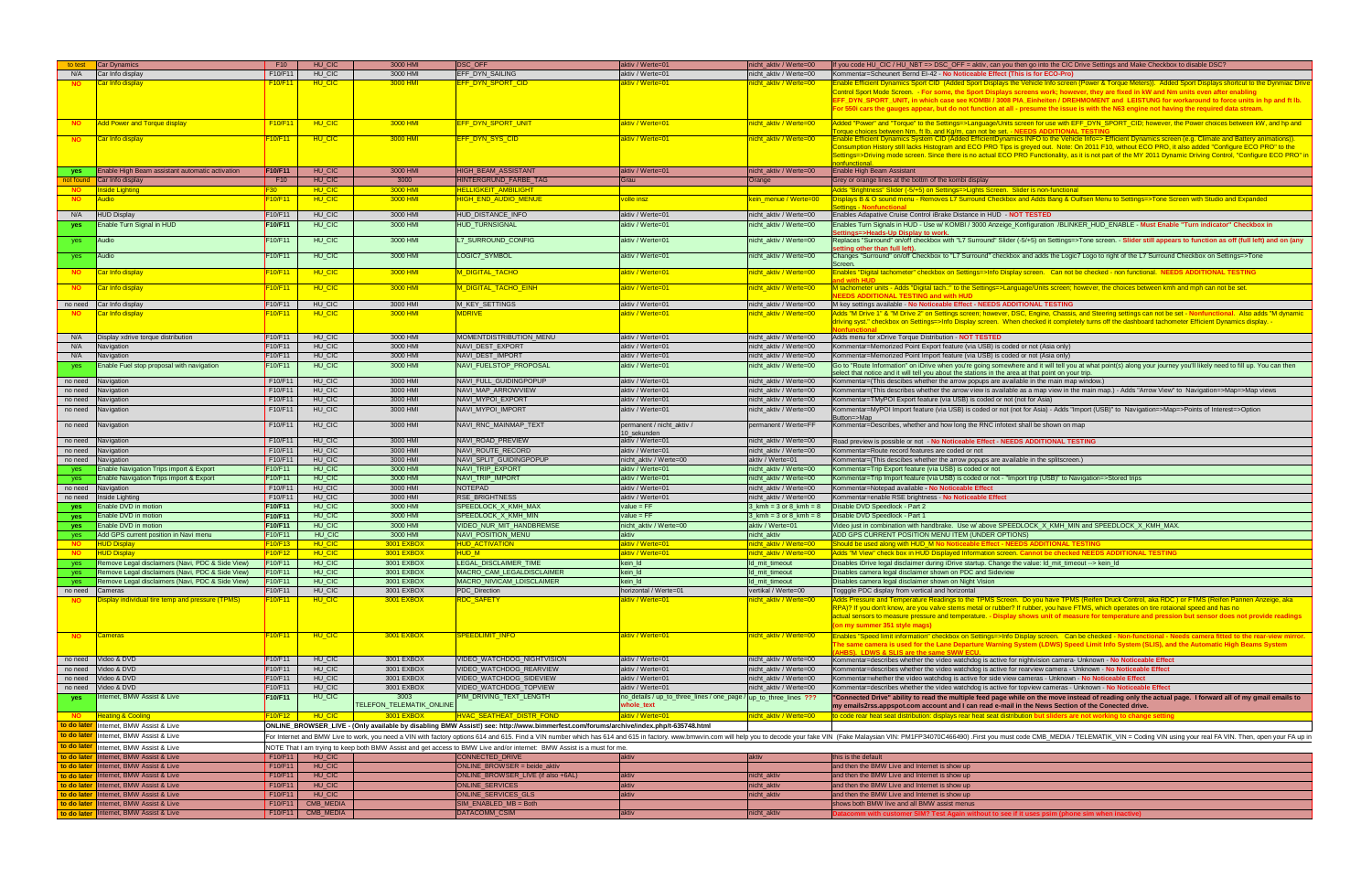| Kommentar=Scheunert Bernd EI-42 - No Noticeable Effect (This is for ECO-Pro)                                                                                    |
|-----------------------------------------------------------------------------------------------------------------------------------------------------------------|
| Enable Efficient Dynamics Sport CID (Added Sport Displays the Vehicle Info screen (Power & Torque Meters)). Added Sport Displays shortcut to the Dynmiac Drive  |
| Control Sport Mode Screen. - For some, the Sport Displays screens work; however, they are fixed in kW and Nm units even after enabling                          |
| EFF DYN SPORT UNIT, in which case see KOMBI / 3008 PIA Einheiten / DREHMOMENT and LEISTUNG for workaround to force units in hp and ft Ib.                       |
| For 550i cars the gauges appear, but do not function at all - presume the issue is with the N63 engine not having the required data stream.                     |
|                                                                                                                                                                 |
| Added "Power" and "Torque" to the Settings=>Language/Units screen for use with EFF DYN SPORT CID; however, the Power choices between kW, and hp and             |
| Torque choices between Nm, ft lb, and Kg/m, can not be set. - NEEDS ADDITIONAL TESTING                                                                          |
| Enable Efficient Dynamics System CID (Added EfficientDynamics INFO to the Vehicle Info=> Efficient Dynamics screen (e.g. Climate and Battery animations)).      |
| Consumption History still lacks Histogram and ECO PRO Tips is greyed out. Note: On 2011 F10, without ECO PRO, it also added "Configure ECO PRO" to the          |
| Settings=>Driving mode screen. Since there is no actual ECO PRO Functionality, as it is not part of the MY 2011 Dynamic Driving Control, "Configure ECO PRO" in |
| nonfunctional.                                                                                                                                                  |

### bert shall be shown on map

## PEEDLOCK\_X\_KMH\_MIN and SPEEDLOCK\_X\_KMH\_MAX.

| to test     | Car Dynamics                                     | F <sub>10</sub>                  | HU CIC        | 3000 HMI                 | <b>DSC OFF</b>                                                                                                                        | aktiv / Werte=01                                                  | nicht_aktiv / Werte=00               | If you code HU_CIC / HU_NBT => DSC_OFF = aktiv, can you then go into the CIC Drive Settings and Make Checkbox to disable DSC?                                                                                                                                                                                                                      |
|-------------|--------------------------------------------------|----------------------------------|---------------|--------------------------|---------------------------------------------------------------------------------------------------------------------------------------|-------------------------------------------------------------------|--------------------------------------|----------------------------------------------------------------------------------------------------------------------------------------------------------------------------------------------------------------------------------------------------------------------------------------------------------------------------------------------------|
| N/A         | Car Info display                                 | F10/F11                          | HU_CIC        | 3000 HMI                 | <b>EFF DYN SAILING</b>                                                                                                                | aktiv / Werte=01                                                  | nicht_aktiv / Werte=00               | Kommentar=Scheunert Bernd EI-42 - No Noticeable Effect (This is for ECO-Pro)                                                                                                                                                                                                                                                                       |
| <b>NO</b>   | Car Info display                                 | F10/F1                           | HU_CIC        | 3000 HMI                 | EFF_DYN_SPORT_CID                                                                                                                     | aktiv / Werte=01                                                  | <mark>nicht_aktiv / Werte=00_</mark> | Enable Efficient Dynamics Sport CID (Added Sport Displays the Vehicle Info screen (Power & Torque Meters)). Added Sport Displays shortcut to the Dynmiac Drive                                                                                                                                                                                     |
|             |                                                  |                                  |               |                          |                                                                                                                                       |                                                                   |                                      | Control Sport Mode Screen. - For some, the Sport Displays screens work; however, they are fixed in kW and Nm units even after enabling                                                                                                                                                                                                             |
|             |                                                  |                                  |               |                          |                                                                                                                                       |                                                                   |                                      | EFF_DYN_SPORT_UNIT, in which case see KOMBI / 3008 PIA_Einheiten / DREHMOMENT and LEISTUNG for workaround to force units in hp and ft lb.                                                                                                                                                                                                          |
|             |                                                  |                                  |               |                          |                                                                                                                                       |                                                                   |                                      | For 550i cars the gauges appear, but do not function at all - presume the issue is with the N63 engine not having the required data stream.                                                                                                                                                                                                        |
|             |                                                  |                                  |               |                          |                                                                                                                                       |                                                                   |                                      |                                                                                                                                                                                                                                                                                                                                                    |
| <b>NO</b>   | <b>Add Power and Torque display</b>              | F10/F1'                          | HU_CIC        | 3000 HMI                 | EFF DYN SPORT UNIT                                                                                                                    | aktiv / Werte=01                                                  | nicht_aktiv / Werte=00               | Added "Power" and "Torque" to the Settings=>Language/Units screen for use with EFF_DYN_SPORT_CID; however, the Power choices between kW, and hp and                                                                                                                                                                                                |
|             |                                                  |                                  |               |                          |                                                                                                                                       |                                                                   |                                      | orque choices between Nm, ft lb, and Kg/m, can not be set. - NEEDS ADDITIONAL TESTIN                                                                                                                                                                                                                                                               |
| <b>NO</b>   | <b>Car Info display</b>                          | <u> F10/F11_</u>                 | HU_CIC        | 3000 HMI                 | EFF_DYN_SYS_CID                                                                                                                       | aktiv / Werte=01                                                  | <u>nicht_aktiv / Werte=00</u>        | Enable Efficient Dynamics System CID (Added EfficientDynamics INFO to the Vehicle Info=> Efficient Dynamics screen (e.g. Climate and Battery animations)).                                                                                                                                                                                         |
|             |                                                  |                                  |               |                          |                                                                                                                                       |                                                                   |                                      | Consumption History still lacks Histogram and ECO PRO Tips is greyed out. Note: On 2011 F10, without ECO PRO, it also added "Configure ECO PRO" to the                                                                                                                                                                                             |
|             |                                                  |                                  |               |                          |                                                                                                                                       |                                                                   |                                      | Settings=>Driving mode screen. Since there is no actual ECO PRO Functionality, as it is not part of the MY 2011 Dynamic Driving Control, "Configure ECO PRO" in                                                                                                                                                                                    |
|             |                                                  |                                  |               |                          |                                                                                                                                       |                                                                   |                                      | onfunctional.                                                                                                                                                                                                                                                                                                                                      |
| yes         | Enable High Beam assistant automatic activation  | F10/F11                          | HU CIC        | 3000 HMI                 | <b>HIGH BEAM ASSISTANT</b>                                                                                                            | aktiv / Werte=01                                                  | nicht_aktiv / Werte=00               | Enable High Beam Assistant                                                                                                                                                                                                                                                                                                                         |
| not found   | Car Info display                                 | F10                              | HU_CIC        | 3000                     | HINTERGRUND FARBE TAG                                                                                                                 | Grau                                                              | Orange                               | Grey or orange lines at the bottm of the kombi display                                                                                                                                                                                                                                                                                             |
| <b>NO</b>   | <b>Inside Lighting</b>                           | F30                              | HU CIC        | 3000 HMI                 | <u>HELLIGKEIT AMBILIGHT</u>                                                                                                           |                                                                   |                                      | Adds "Brightness" Slider (-5/+5) on Settings=>Lights Screen. Slider is non-functional                                                                                                                                                                                                                                                              |
| <b>NO</b>   | <b>Audio</b>                                     | F <sub>10</sub> /F <sub>11</sub> | HU_CIC        | 3000 HMI                 | HIGH_END_AUDIO_MENUE                                                                                                                  | <u>volle insz-</u>                                                | kein_menue / Werte=00                | Displays B & O sound menu - Removes L7 Surround Checkbox and Adds Bang & Oulfsen Menu to Settings=>Tone Screen with Studio and Expanded                                                                                                                                                                                                            |
|             |                                                  |                                  |               |                          |                                                                                                                                       |                                                                   |                                      | <b>Settings - Nonfunctional</b>                                                                                                                                                                                                                                                                                                                    |
| N/A         | <b>HUD Display</b>                               | F10/F11                          | HU_CIC        | 3000 HMI                 | <b>HUD DISTANCE INFO</b>                                                                                                              | aktiv / Werte=01                                                  | nicht_aktiv / Werte=00               | Enables Adapative Cruise Control iBrake Distance in HUD - NOT TESTED                                                                                                                                                                                                                                                                               |
| yes         | Enable Turn Signal in HUD                        | F10/F11                          | HU_CIC        | 3000 HMI                 | <b>HUD_TURNSIGNAL</b>                                                                                                                 | aktiv / Werte=01                                                  | nicht_aktiv / Werte=00               | Enables Turn Signals in HUD - Use w/ KOMBI / 3000 Anzeige_Konfiguration /BLINKER_HUD_ENABLE - Must Enable "Turn indicator" Checkbox in                                                                                                                                                                                                             |
|             |                                                  |                                  |               |                          |                                                                                                                                       |                                                                   |                                      | ttings=>Heads-Up Display to work.                                                                                                                                                                                                                                                                                                                  |
| yes         | Audio                                            | F10/F11                          | HU_CIC        | 3000 HMI                 | L7_SURROUND_CONFIG                                                                                                                    | aktiv / Werte=01                                                  | nicht_aktiv / Werte=00               | Replaces "Surround" on/off checkbox with "L7 Surround" Slider (-5/+5) on Settings=>Tone screen. - Slider still appears to function as off (full left) and on (any                                                                                                                                                                                  |
|             |                                                  |                                  |               |                          |                                                                                                                                       |                                                                   |                                      | tting other than full left)                                                                                                                                                                                                                                                                                                                        |
| yes         | Audio                                            | F10/F11                          | HU_CIC        | 3000 HMI                 | LOGIC7_SYMBOL                                                                                                                         | aktiv / Werte=01                                                  | nicht_aktiv / Werte=00               | Changes "Surround" on/off Checkbox to "L7 Surround" checkbox and adds the Logic7 Logo to right of the L7 Surround Checkbox on Settings=>Tone                                                                                                                                                                                                       |
|             |                                                  |                                  |               |                          |                                                                                                                                       |                                                                   |                                      |                                                                                                                                                                                                                                                                                                                                                    |
| NO.         | Car Info display                                 | <mark>-10/F11</mark>             | HU_CIC        | 3000 HMI                 | M_DIGITAL_TACHO                                                                                                                       | aktiv / Werte=01                                                  | <mark>nicht_aktiv / Werte=00_</mark> | Enables "Digital tachometer" checkbox on Settings=>Info Display screen. Can not be checked - non functional. NEEDS ADDITIONAL TESTING                                                                                                                                                                                                              |
| <b>NO</b>   | Car Info display                                 | F10/F11                          | HU_CIC        | 3000 HMI                 | M_DIGITAL_TACHO_EINH                                                                                                                  | aktiv / Werte=01                                                  | iicht_aktiv / Werte=00               | M tachometer units - Adds "Digital tach.:" to the Settings=>Language/Units screen; however, the choices between kmh and mph can not be set.                                                                                                                                                                                                        |
|             |                                                  |                                  |               |                          |                                                                                                                                       |                                                                   |                                      | <b>EEDS ADDITIONAL TESTING and with HUD</b>                                                                                                                                                                                                                                                                                                        |
| no need     | Car Info display                                 | F <sub>10</sub> /F <sub>11</sub> | HU_CIC        | 3000 HMI                 | M_KEY_SETTINGS                                                                                                                        | aktiv / Werte=01                                                  | nicht_aktiv / Werte=00               | M key settings available - No Noticeable Effect - NEEDS ADDITIONAL TESTING                                                                                                                                                                                                                                                                         |
| <b>NO</b>   | <mark>ICar Info display</mark>                   | <u> 10/F11 - </u>                | HU_CIC        | 3000 HMI                 | <u>MDRIVE</u>                                                                                                                         | aktiv / Werte=01                                                  | <u>nicht_aktiv / Werte=00_</u>       | Adds "M Drive 1" & "M Drive 2" on Settings screen; however, DSC, Engine, Chassis, and Steering settings can not be set - Nonfunctional. Also adds "M dynamic                                                                                                                                                                                       |
|             |                                                  |                                  |               |                          |                                                                                                                                       |                                                                   |                                      | triving syst." checkbox on Settings=>Info Display screen. When checked it completely turns off the dashboard tachometer Efficient Dynamics display. -                                                                                                                                                                                              |
|             |                                                  |                                  |               |                          |                                                                                                                                       |                                                                   |                                      |                                                                                                                                                                                                                                                                                                                                                    |
| N/A         | Display xdrive torque distribution               | F10/F11                          | HU_CIC        | 3000 HMI                 | MOMENTDISTRIBUTION MENU                                                                                                               | aktiv / Werte=01                                                  | nicht_aktiv / Werte=00               | Adds menu for xDrive Torque Distribution - NOT TESTED                                                                                                                                                                                                                                                                                              |
| N/A         | Navigation                                       | F10/F11                          | HU_CIC        | 3000 HMI                 | NAVI DEST EXPORT                                                                                                                      | aktiv / Werte=01                                                  | nicht aktiv / Werte=00               | Kommentar=Memorized Point Export feature (via USB) is coded or not (Asia only)                                                                                                                                                                                                                                                                     |
| N/A         | Navigation                                       | F10/F11                          | HU_CIC        | 3000 HMI                 | NAVI DEST IMPORT                                                                                                                      | aktiv / Werte=01                                                  | nicht aktiv / Werte=00               | Kommentar=Memorized Point Import feature (via USB) is coded or not (Asia only)                                                                                                                                                                                                                                                                     |
|             | Enable Fuel stop proposal with navigation        | F10/F11                          | HU_CIC        | 3000 HMI                 | NAVI_FUELSTOP_PROPOSAL                                                                                                                | aktiv / Werte=01                                                  | nicht_aktiv / Werte=00               |                                                                                                                                                                                                                                                                                                                                                    |
| yes         |                                                  |                                  |               |                          |                                                                                                                                       |                                                                   |                                      | Go to "Route Information" on iDrive when you're going somewhere and it will tell you at what point(s) along your journey you'll likely need to fill up. You can then<br>elect that notice and it will tell you about the stations in the area at that point on your trip.                                                                          |
| no need     | Navigation                                       | F10/F11                          | HU_CIC        | 3000 HMI                 | NAVI FULL GUIDINGPOPUP                                                                                                                | aktiv / Werte=01                                                  | nicht_aktiv / Werte=00               | Kommentar=(This descibes whether the arrow popups are available in the main map window.)                                                                                                                                                                                                                                                           |
|             |                                                  | F10/F11                          | HU_CIC        | 3000 HMI                 | NAVI_MAP_ARROWVIEW                                                                                                                    | aktiv / Werte=01                                                  | nicht_aktiv / Werte=00               | Kommentar=(This describes whether the arrow view is available as a map view in the main map.) - Adds "Arrow View" to Navigation=>Map=>Map views                                                                                                                                                                                                    |
| no need     | Navigation                                       |                                  |               |                          |                                                                                                                                       |                                                                   |                                      |                                                                                                                                                                                                                                                                                                                                                    |
| no need     | Navigation                                       | F10/F11                          | HU_CIC        | 3000 HMI                 | NAVI MYPOI EXPORT                                                                                                                     | aktiv / Werte=01                                                  | nicht aktiv / Werte=00               | Kommentar=TMyPOI Export feature (via USB) is coded or not (not for Asia)                                                                                                                                                                                                                                                                           |
| no need     | Navigation                                       | F10/F11                          | HU_CIC        | 3000 HMI                 | NAVI_MYPOI_IMPORT                                                                                                                     | aktiv / Werte=01                                                  | nicht_aktiv / Werte=00               | Kommentar=MyPOI Import feature (via USB) is coded or not (not for Asia) - Adds "Import (USB)" to Navigation=>Map=>Points of Interest=>Option                                                                                                                                                                                                       |
|             |                                                  |                                  |               |                          |                                                                                                                                       |                                                                   |                                      | utton=>Map                                                                                                                                                                                                                                                                                                                                         |
| no need     | Navigation                                       | F10/F11                          | HU_CIC        | 3000 HMI                 | NAVI_RNC_MAINMAP_TEXT                                                                                                                 | permanent / nicht_aktiv /<br>10 sekunden                          | permanent / Werte=FF                 | Kommentar=Describes, whether and how long the RNC infotext shall be shown on map                                                                                                                                                                                                                                                                   |
| no need     | Navigation                                       | F10/F11                          | HU_CIC        | 3000 HMI                 | NAVI_ROAD_PREVIEW                                                                                                                     | aktiv / Werte=01                                                  | nicht_aktiv / Werte=00               | Road preview is possible or not - No Noticeable Effect - NEEDS ADDITIONAL TESTING                                                                                                                                                                                                                                                                  |
|             |                                                  | F10/F11                          | HU_CIC        | 3000 HMI                 | NAVI_ROUTE_RECORD                                                                                                                     | aktiv / Werte=01                                                  |                                      | Kommentar=Route record features are coded or not                                                                                                                                                                                                                                                                                                   |
| no need     | Navigation                                       |                                  |               |                          |                                                                                                                                       |                                                                   | nicht_aktiv / Werte=00               |                                                                                                                                                                                                                                                                                                                                                    |
| no need     | Navigation                                       | F10/F11                          | HU_CIC        | 3000 HMI                 | NAVI_SPLIT_GUIDINGPOPUP                                                                                                               | nicht_aktiv / Werte=00                                            | aktiv / Werte=01                     | Kommentar=(This descibes whether the arrow popups are available in the splitscreen.)                                                                                                                                                                                                                                                               |
| yes         | Enable Navigation Trips import & Export          | F10/F11                          | HU_CIC        | 3000 HMI                 | NAVI TRIP EXPORT                                                                                                                      | aktiv / Werte=01                                                  | nicht_aktiv / Werte=00               | Kommentar=Trip Export feature (via USB) is coded or not                                                                                                                                                                                                                                                                                            |
| yes         | Enable Navigation Trips import & Export          | F10/F11                          | HU_CIC        | 3000 HMI                 | NAVI_TRIP_IMPORT                                                                                                                      | aktiv / Werte=01                                                  | nicht_aktiv / Werte=00               | Kommentar=Trip Import feature (via USB) is coded or not - "Import trip (USB)" to Navigation=>Stored trips                                                                                                                                                                                                                                          |
| no need     | Navigation                                       | F10/F11                          | HU_CIC        | 3000 HMI                 | <b>NOTEPAD</b>                                                                                                                        | aktiv / Werte=01                                                  | nicht aktiv / Werte=00               | Kommentar=Notepad available - No Noticeable Effect                                                                                                                                                                                                                                                                                                 |
| no need     | Inside Lighting                                  | F10/F11                          | HU CIC        | 3000 HMI                 | <b>RSE BRIGHTNESS</b>                                                                                                                 | aktiv / Werte=01                                                  | nicht aktiv / Werte=00               | Kommentar=enable RSE brightness - No Noticeable Effect                                                                                                                                                                                                                                                                                             |
| yes         |                                                  |                                  |               |                          | SPEEDLOCK_X_KMH_MAX                                                                                                                   | $value = FF$                                                      | $3_kmh = 3$ or $8_kmh = 8$           | Disable DVD Speedlock - Part 2                                                                                                                                                                                                                                                                                                                     |
|             | Enable DVD in motion                             | F10/F11                          | HU_CIC        | 3000 HMI                 |                                                                                                                                       |                                                                   |                                      |                                                                                                                                                                                                                                                                                                                                                    |
|             |                                                  |                                  |               |                          | SPEEDLOCK X KMH MIN                                                                                                                   | $value = FF$                                                      |                                      | Disable DVD Speedlock - Part 1                                                                                                                                                                                                                                                                                                                     |
| yes         | Enable DVD in motion                             | F10/F11                          | HU_CIC        | 3000 HMI                 |                                                                                                                                       |                                                                   | $3_kmh = 3$ or $8_kmh = 8$           |                                                                                                                                                                                                                                                                                                                                                    |
| yes         | Enable DVD in motion                             | F10/F11                          | HU_CIC        | 3000 HMI                 | <b>VIDEO NUR MIT HANDBREMSE</b>                                                                                                       | nicht_aktiv / Werte=00                                            | aktiv / Werte=01                     | Video just in combination with handbrake. Use w/ above SPEEDLOCK_X_KMH_MIN and SPEEDLOCK_X_KMH_MAX.                                                                                                                                                                                                                                                |
| yes         | Add GPS current position in Navi menu            | F10/F11                          | HU_CIC        | 3000 HMI                 | NAVI_POSITION_MENU                                                                                                                    | aktiv                                                             | nicht_aktiv                          | ADD GPS CURRENT POSITION MENU ITEM (UNDER OPTIONS)                                                                                                                                                                                                                                                                                                 |
| <b>NO</b>   | <b>HUD Display</b>                               | F10/F13                          | HU CIC        | <b>3001 EXBOX</b>        | <b>HUD_ACTIVATION</b>                                                                                                                 | aktiv / Werte=01                                                  | <u>nicht_aktiv / Werte=00</u>        | Should be used along with HUD M No Noticeable Effect - NEEDS ADDITIONAL TESTING                                                                                                                                                                                                                                                                    |
| <b>NO</b>   | <b>HUD Display</b>                               | F10/F12                          | HU_CIC        | <b>3001 EXBOX</b>        | <b>HUD M</b>                                                                                                                          | aktiv / Werte=01                                                  | nicht aktiv / Werte=00               | Adds "M View" check box in HUD Displayed Information screen. Cannot be checked NEEDS ADDITIONAL TESTING                                                                                                                                                                                                                                            |
|             | Remove Legal disclaimers (Navi, PDC & Side View) | F10/F11                          | HU_CIC        | 3001 EXBOX               | LEGAL DISCLAIMER TIME                                                                                                                 | kein_ld                                                           | ld_mit_timeout                       | Disables iDrive legal disclaimer during iDrive startup. Change the value: Id_mit_timeout --> kein_Id                                                                                                                                                                                                                                               |
| yes         | Remove Legal disclaimers (Navi, PDC & Side View) | F10/F11                          | HU_CIC        | 3001 EXBOX               | MACRO CAM LEGALDISCLAIMER                                                                                                             | kein Id                                                           | Id_mit_timeout                       | Disables camera legal disclaimer shown on PDC and Sideview                                                                                                                                                                                                                                                                                         |
| yes         | Remove Legal disclaimers (Navi, PDC & Side View) | F10/F11                          | HU CIC        | 3001 EXBOX               | <b>MACRO NIVICAM LDISCLAIMER</b>                                                                                                      | kein Id                                                           | Id mit timeout                       | Disables camera legal disclaimer shown on Night Vision                                                                                                                                                                                                                                                                                             |
| no need     | Cameras                                          | F10/F11                          | HU_CIC        | 3001 EXBOX               | PDC_Direction                                                                                                                         | horizontal / Werte=01                                             | vertikal / Werte=00                  | Togggle PDC display from vertical and horizontal                                                                                                                                                                                                                                                                                                   |
| <b>NO</b>   |                                                  | F10/F11                          | HU_CIC        | 3001 EXBOX               | <b>RDC SAFETY</b>                                                                                                                     | aktiv / Werte=01                                                  | nicht aktiv / Werte=00               |                                                                                                                                                                                                                                                                                                                                                    |
|             | Display individual tire temp and pressure (TPMS) |                                  |               |                          |                                                                                                                                       |                                                                   |                                      | Adds Pressure and Temperature Readings to the TPMS Screen. Do you have TPMS (Reifen Druck Control, aka RDC ) or FTMS (Reifen Pannen Anzeige, aka<br>RPA)? If you don't know, are you valve stems metal or rubber? If rubber, you have FTMS, which operates on tire rotaional speed and has no                                                      |
|             |                                                  |                                  |               |                          |                                                                                                                                       |                                                                   |                                      | actual sensors to measure pressure and temperature. - Display shows unit of measure for temperature and pression but sensor does not provide readings                                                                                                                                                                                              |
|             |                                                  |                                  |               |                          |                                                                                                                                       |                                                                   |                                      | on my summer 351 style mags)                                                                                                                                                                                                                                                                                                                       |
|             |                                                  |                                  |               |                          |                                                                                                                                       |                                                                   |                                      |                                                                                                                                                                                                                                                                                                                                                    |
| <b>NO</b>   | Cameras                                          | F10/F11                          | HU_CIC        | 3001 EXBOX               | SPEEDLIMIT INFO                                                                                                                       | aktiv / Werte=01                                                  | nicht aktiv / Werte=00               |                                                                                                                                                                                                                                                                                                                                                    |
|             |                                                  |                                  |               |                          |                                                                                                                                       |                                                                   |                                      | Enables "Speed limit information" checkbox on Settings=>Info Display screen. Can be checked - Non-functional - Needs camera fitted to the rear-view mirror.<br>The same camera is used for the Lane Departure Warning System (LDWS) Speed Limit Info System (SLIS), and the Automatic High Beams System<br>HRSI I DWS & SLIS are the same SMM FCLL |
|             | no need Video & DVD                              | F10/F11                          | HU_CIC        | 3001 EXBOX               | VIDEO_WATCHDOG_NIGHTVISION                                                                                                            | aktiv / Werte=01                                                  | nicht aktiv / Werte=00               | Kommentar=describes whether the video watchdog is active for nightvision camera- Unknown - No Noticeable Effect                                                                                                                                                                                                                                    |
| no need     | Video & DVD                                      | F10/F11                          | HU_CIC        | 3001 EXBOX               | VIDEO WATCHDOG REARVIEW                                                                                                               | aktiv / Werte=01                                                  | nicht aktiv / Werte=00               | Kommentar=describes whether the video watchdog is active for rearview camera - Unknown - No Noticeable Effect                                                                                                                                                                                                                                      |
| no need     |                                                  | F <sub>10</sub> /F <sub>11</sub> |               | 3001 EXBOX               | <b>VIDEO WATCHDOG SIDEVIEW</b>                                                                                                        |                                                                   |                                      |                                                                                                                                                                                                                                                                                                                                                    |
|             | Video & DVD                                      |                                  | HU_CIC        |                          |                                                                                                                                       | aktiv / Werte=01                                                  | nicht_aktiv / Werte=00               | Kommentar=whether the video watchdog is active for side view cameras - Unknown - No Noticeable Effect                                                                                                                                                                                                                                              |
| no need     | Video & DVD                                      | F10/F11                          | HU_CIC        | 3001 EXBOX               | VIDEO_WATCHDOG_TOPVIEW                                                                                                                | aktiv / Werte=01                                                  | nicht_aktiv / Werte=00               | Kommentar=describes whether the video watchdog is active for topview cameras - Unknown - No Noticeable Effect                                                                                                                                                                                                                                      |
| yes         | Internet, BMW Assist & Live                      | F10/F11                          | HU_CIC        | 3003                     | PIM_DRIVING_TEXT_LENGTH                                                                                                               | no_details / up_to_three_lines / one_page / up_to_three_lines ??? |                                      | "Connected Drive" ability to read the multiple feed page while on the move instead of reading only the actual page. I forward all of my gmail emails to                                                                                                                                                                                            |
|             |                                                  |                                  |               | TELEFON_TELEMATIK_ONLINE |                                                                                                                                       | whole_text                                                        |                                      | my emails2rss.appspot.com account and I can read e-mail in the News Section of the Conected drive.                                                                                                                                                                                                                                                 |
|             | <b>NO Heating &amp; Cooling</b>                  | <b>F10/F12</b>                   | <b>HU CIC</b> | 3001 EXBOX               | HVAC_SEATHEAT_DISTR_FOND                                                                                                              | aktiv / Werte=01                                                  | nicht aktiv / Werte=00               | to code rear heat seat distribution: displays rear heat seat distribution but sliders are not                                                                                                                                                                                                                                                      |
|             | to do later Internet, BMW Assist & Live          |                                  |               |                          | ONLINE_BROWSER_LIVE - (Only available by disabling BMW Assist!) see: http://www.bimmerfest.com/forums/archive/index.php/t-635748.html |                                                                   |                                      |                                                                                                                                                                                                                                                                                                                                                    |
| to do later | Internet, BMW Assist & Live                      |                                  |               |                          |                                                                                                                                       |                                                                   |                                      |                                                                                                                                                                                                                                                                                                                                                    |
|             |                                                  |                                  |               |                          |                                                                                                                                       |                                                                   |                                      |                                                                                                                                                                                                                                                                                                                                                    |
| to do later | Internet, BMW Assist & Live                      |                                  |               |                          | NOTE That I am trying to keep both BMW Assist and get access to BMW Live and/or internet: BMW Assist is a must for me.                |                                                                   |                                      |                                                                                                                                                                                                                                                                                                                                                    |
|             | to do later Internet, BMW Assist & Live          | F10/F11                          | HU_CIC        |                          | CONNECTED_DRIVE                                                                                                                       | aktiv                                                             | aktiv                                | this is the default                                                                                                                                                                                                                                                                                                                                |
|             | to do later Internet, BMW Assist & Live          | F10/F11                          | HU CIC        |                          | ONLINE_BROWSER = beide_aktiv                                                                                                          |                                                                   |                                      | and then the BMW Live and Internet is show up                                                                                                                                                                                                                                                                                                      |
|             | to do later Internet, BMW Assist & Live          | F10/F11                          | HU CIC        |                          | ONLINE_BROWSER_LIVE (if also +6AL)                                                                                                    | aktiv                                                             | nicht_aktiv                          | For Internet and BMW Live to work, you need a VIN with factory options 614 and 615. Find a VIN number which has 614 and 615 in factory. www.bmwvin.com will help you to decode your fake VIN (Fake Malaysian VIN: PM1FP34070C4<br>and then the BMW Live and Internet is show up                                                                    |
|             | to do later Internet, BMW Assist & Live          | F10/F11                          | HU_CIC        |                          | <b>ONLINE SERVICES</b>                                                                                                                | aktiv                                                             | nicht_aktiv                          | and then the BMW Live and Internet is show up                                                                                                                                                                                                                                                                                                      |
|             | to do later Internet, BMW Assist & Live          | F10/F11                          | HU_CIC        |                          | ONLINE_SERVICES_GLS                                                                                                                   | aktiv                                                             | nicht_aktiv                          | and then the BMW Live and Internet is show up                                                                                                                                                                                                                                                                                                      |
|             | to do later Internet, BMW Assist & Live          | F10/F11                          | CMB_MEDIA     |                          | SIM_ENABLED_MB = Both                                                                                                                 |                                                                   |                                      | shows both BMW live and all BMW assist menus                                                                                                                                                                                                                                                                                                       |

| I then go into the CIC Drive Settings and Make Checkbox to disable DSC? |
|-------------------------------------------------------------------------|
|                                                                         |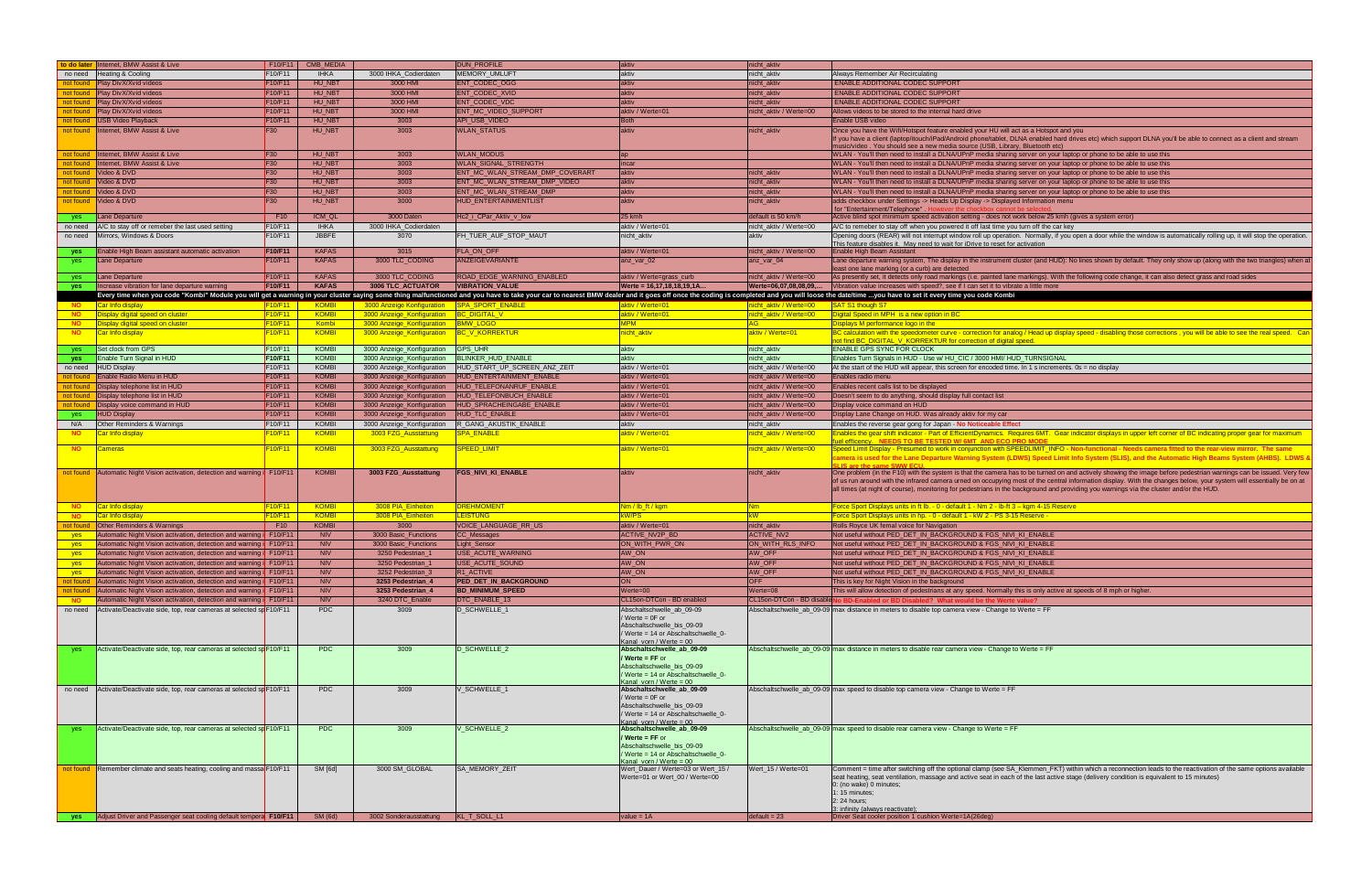| to do later Internet, BMW Assist & Live                                                 | F10/F11                          | CMB_MEDIA     |                                               | <b>DUN_PROFILE</b>              | aktiv                                                           | nicht_aktiv                    |                                                                                                                                                                                                                                                 |
|-----------------------------------------------------------------------------------------|----------------------------------|---------------|-----------------------------------------------|---------------------------------|-----------------------------------------------------------------|--------------------------------|-------------------------------------------------------------------------------------------------------------------------------------------------------------------------------------------------------------------------------------------------|
| Heating & Cooling<br>no need                                                            | F10/F11                          | <b>IHKA</b>   | 3000 IHKA_Codierdaten                         | <b>MEMORY UMLUFT</b>            | aktiv                                                           | nicht aktiv                    | Always Remember Air Recirculating                                                                                                                                                                                                               |
| Play DivX/Xvid videos<br>not found                                                      | F <sub>10</sub> /F <sub>11</sub> | HU NBT        | 3000 HMI                                      | <b>ENT CODEC OGG</b>            | aktiv                                                           | nicht_aktiv                    | <b>ENABLE ADDITIONAL CODEC SUPPORT</b>                                                                                                                                                                                                          |
| Play DivX/Xvid videos<br>not found                                                      | F <sub>10</sub> /F <sub>11</sub> | HU_NBT        | 3000 HMI                                      | ENT_CODEC_XVID                  | aktiv                                                           | nicht_aktiv                    | <b>ENABLE ADDITIONAL CODEC SUPPORT</b>                                                                                                                                                                                                          |
| Play DivX/Xvid videos<br>not found                                                      | F <sub>10</sub> /F <sub>11</sub> | HU_NBT        | 3000 HMI                                      | ENT_CODEC_VDC                   | aktiv                                                           | nicht_aktiv                    | <b>ENABLE ADDITIONAL CODEC SUPPORT</b>                                                                                                                                                                                                          |
| Play DivX/Xvid videos<br>not found                                                      | F10/F11                          | HU_NBT        | 3000 HMI                                      | ENT_MC_VIDEO_SUPPORT            | aktiv / Werte=01                                                | nicht_aktiv / Werte=00         | Allows videos to be stored to the internal hard drive                                                                                                                                                                                           |
| <b>USB Video Playback</b>                                                               | F10/F11                          | HU NBT        | 3003                                          | API USB VIDEO                   | <b>Both</b>                                                     |                                | Enable USB video                                                                                                                                                                                                                                |
| not found                                                                               |                                  |               |                                               |                                 |                                                                 |                                |                                                                                                                                                                                                                                                 |
| Internet, BMW Assist & Live<br>not found                                                | <b>F30</b>                       | <b>HU_NBT</b> | 3003                                          | <b>WLAN_STATUS</b>              | aktiv                                                           | nicht_aktiv                    | Once you have the Wifi/Hotspot feature enabled your HU will act as a Hotspot and you                                                                                                                                                            |
|                                                                                         |                                  |               |                                               |                                 |                                                                 |                                | If you have a client (laptop/itouch/iPad/Android phone/tablet, DLNA enabled hard drives etc) which support DLNA you'll be able to connect as a client and stream<br>usic/video. You should see a new media source (USB, Library, Bluetooth etc) |
| Internet, BMW Assist & Live<br>not found                                                | F30                              | HU NBT        | 3003                                          | <b>WLAN_MODUS</b>               |                                                                 |                                | WLAN - You'll then need to install a DLNA/UPnP media sharing server on your laptop or phone to be able to use this                                                                                                                              |
| Internet, BMW Assist & Live<br>not found                                                | F30                              | HU NBT        | 3003                                          | WLAN_SIGNAL_STRENGTH            | incar                                                           |                                | WLAN - You'll then need to install a DLNA/UPnP media sharing server on your laptop or phone to be able to use this                                                                                                                              |
|                                                                                         |                                  |               |                                               | ENT MC WLAN STREAM DMP COVERART |                                                                 |                                |                                                                                                                                                                                                                                                 |
| Video & DVD<br>not found                                                                | F30                              | HU_NBT        | 3003                                          |                                 | aktiv                                                           | nicht_aktiv                    | WLAN - You'll then need to install a DLNA/UPnP media sharing server on your laptop or phone to be able to use this                                                                                                                              |
| Video & DVD<br>not found                                                                | <b>F30</b>                       | HU_NBT        | 3003                                          | ENT_MC_WLAN_STREAM_DMP_VIDEO    | aktiv                                                           | nicht_aktiv                    | WLAN - You'll then need to install a DLNA/UPnP media sharing server on your laptop or phone to be able to use this                                                                                                                              |
| Video & DVD<br>not found                                                                | <b>F30</b>                       | HU NB1        | 3003                                          | ENT MC WLAN STREAM DMP          | aktiv                                                           | icht_aktiv                     | WLAN - You'll then need to install a DLNA/UPnP media sharing server on your laptop or phone to be able to use this                                                                                                                              |
| Video & DVD<br>not found                                                                | <b>F30</b>                       | HU_NBT        | 3000                                          | <b>HUD ENTERTAINMENTLIST</b>    | aktiv                                                           | nicht_aktiv                    | adds checkbox under Settings -> Heads Up Display -> Displayed Information menu                                                                                                                                                                  |
|                                                                                         |                                  |               |                                               |                                 |                                                                 |                                | for "Entertainment/Telephone". He<br>ever the checkbox cannot be                                                                                                                                                                                |
| Lane Departure<br><b>ves</b>                                                            | F10                              | ICM QL        | 3000 Daten                                    | Hc2_i_CPar_Aktiv_v_low          | 25 kmh                                                          | default is 50 km/h             | Active blind spot minimum speed activation setting - does not work below 25 kmh (gives a system error)                                                                                                                                          |
| A/C to stay off or remeber the last used setting<br>no need                             | F10/F11                          | <b>IHKA</b>   | 3000 IHKA_Codierdaten                         |                                 | aktiv / Werte=01                                                | nicht_aktiv / Werte=00         | A/C to remeber to stay off when you powered it off last time you turn off the car key                                                                                                                                                           |
| Mirrors, Windows & Doors<br>no need                                                     | F10/F11                          | <b>JBBFE</b>  | 3070                                          | FH_TUER_AUF_STOP_MAUT           | nicht_aktiv                                                     | aktiv                          | Opening doors (REAR) will not interrupt window roll up operation. Normally, if you open a door while the window is automatically rolling up, it will stop the operation.                                                                        |
| Enable High Beam assistant automatic activation                                         | F10/F11                          | <b>KAFAS</b>  | 3015                                          | FLA_ON_OFF                      | aktiv / Werte=01                                                | nicht_aktiv / Werte=00         | This feature disables it. May need to wait for iDrive to reset for activation<br>Enable High Beam Assistant                                                                                                                                     |
| yes                                                                                     |                                  | <b>KAFAS</b>  |                                               |                                 |                                                                 |                                |                                                                                                                                                                                                                                                 |
| Lane Departure<br>yes                                                                   | F10/F11                          |               | 3000 TLC_CODING                               | ANZEIGEVARIANTE                 | anz_var_02                                                      | anz_var_04                     | Lane departure warning system, The display in the instrument cluster (and HUD): No lines shown by default. They only show up (along with the two triangles) when at<br>east one lane marking (or a curb) are detected                           |
| Lane Departure<br>yes                                                                   | F10/F11                          | <b>KAFAS</b>  | 3000 TLC_CODING                               | ROAD_EDGE_WARNING_ENABLED       | aktiv / Werte=grass_curb                                        | nicht_aktiv / Werte=00         | As presently set, it detects only road markings (i.e. painted lane markings). With the following code change, it can also detect grass and road sides                                                                                           |
| Increase vibration for lane departure warning                                           | F10/F11                          | <b>KAFAS</b>  | <b>3006 TLC ACTUATOR</b>                      | <b>VIBRATION VALUE</b>          | Werte = 16.17.18.18.19.1A.                                      | Werte=06.07.08.08.09           | Vibration value increases with speed?, see if I can set it to vibrate a little more                                                                                                                                                             |
| yes                                                                                     |                                  |               |                                               |                                 |                                                                 |                                |                                                                                                                                                                                                                                                 |
|                                                                                         |                                  |               |                                               |                                 |                                                                 |                                | Every time when you code "Kombi" Module you will get a warning in your cluster saying some thing malfunctioned and you have to take your car to nearest BMW dealer and it goes off once the coding is completed and you will l                  |
| Car Info display<br>NO <b>NO</b>                                                        | F10/F11                          | <b>KOMBI</b>  | 3000 Anzeige Konfiguration   SPA_SPORT_ENABLE |                                 | <mark>aktiv / Werte=01</mark>                                   | nicht aktiv / Werte=00         | SAT S1 though S7                                                                                                                                                                                                                                |
| Display digital speed on cluster<br><b>NO</b>                                           | <b>F10/F11</b>                   | <b>KOMBI</b>  | 3000 Anzeige_Konfiguration  BC_DIGITAL_V      |                                 | aktiv / Werte=01                                                | nicht_aktiv / Werte=00_        | Digital Speed in MPH is a new option in BC                                                                                                                                                                                                      |
| Display digital speed on cluster<br><b>NO</b>                                           | F10/F11                          | Kombi         | 3000 Anzeige Konfiguration BMW LOGO           |                                 | MPM                                                             |                                | Displays M performance logo in the                                                                                                                                                                                                              |
| <b>NO</b><br>Car Info display                                                           | F10/F11                          | <b>KOMBI</b>  | 3000 Anzeige_Konfiguration                    | BC_V_KORREKTUR                  | <mark>nicht_aktiv</mark>                                        | aktiv / Werte=01               | 3C calculation with the speedometer curve - correction for analog / Head up display speed - disabling those corrections , you will be able to see the real speed. Can                                                                           |
|                                                                                         |                                  |               |                                               |                                 |                                                                 |                                | ot find BC DIGITAL V KORREKTUR for correction of digital speed.                                                                                                                                                                                 |
| Set clock from GPS<br>yes                                                               | F10/F11                          | <b>KOMBI</b>  | 3000 Anzeige_Konfiguration                    | GPS_UHR                         | aktiv                                                           | nicht_aktiv                    | <b>ENABLE GPS SYNC FOR CLOCK</b>                                                                                                                                                                                                                |
| Enable Turn Signal in HUD<br><b>yes</b>                                                 | F10/F11                          | <b>KOMBI</b>  | 3000 Anzeige Konfiguration                    | <b>BLINKER HUD ENABLE</b>       | aktiv                                                           | nicht aktiv                    | Enables Turn Signals in HUD - Use w/ HU_CIC / 3000 HMI/ HUD_TURNSIGNAL                                                                                                                                                                          |
| <b>HUD Display</b><br>no need                                                           | F10/F11                          | <b>KOMBI</b>  | 3000 Anzeige_Konfiguration                    | HUD_START_UP_SCREEN_ANZ_ZEIT    | aktiv / Werte=01                                                | nicht aktiv / Werte=00         | At the start of the HUD will appear, this screen for encoded time. In 1 s increments. 0s = no display                                                                                                                                           |
| Enable Radio Menu in HUD<br>not found                                                   | F <sub>10</sub> /F <sub>11</sub> | <b>KOMBI</b>  | 3000 Anzeige_Konfiguration                    | HUD ENTERTAINMENT ENABLI        | aktiv / Werte=01                                                | nicht_aktiv / Werte=00         | Enables radio menu                                                                                                                                                                                                                              |
| Display telephone list in HUD<br>not found                                              | F <sub>10</sub> /F <sub>11</sub> | <b>KOMBI</b>  | 3000 Anzeige_Konfiguration                    | HUD_TELEFONANRUF_ENABLE         | aktiv / Werte=01                                                | nicht_aktiv / Werte=00         | Enables recent calls list to be displayed                                                                                                                                                                                                       |
| Display telephone list in HUD<br>not found                                              | F <sub>10</sub> /F <sub>11</sub> | <b>KOMBI</b>  | 3000 Anzeige_Konfiguration                    | HUD_TELEFONBUCH_ENABLE          | aktiv / Werte=01                                                | nicht_aktiv / Werte=00         | Doesn't seem to do anything, should display full contact list                                                                                                                                                                                   |
| Display voice command in HUD<br>not found                                               | F <sub>10</sub> /F <sub>11</sub> | <b>KOMBI</b>  | 3000 Anzeige_Konfiguration                    | HUD_SPRACHEINGABE_ENABLE        | aktiv / Werte=01                                                | nicht_aktiv / Werte=00         | Display voice command on HUD                                                                                                                                                                                                                    |
| <b>HUD Display</b><br>yes                                                               | F10/F11                          | <b>KOMBI</b>  | 3000 Anzeige_Konfiguration                    | HUD_TLC_ENABLE                  | aktiv / Werte=01                                                | nicht_aktiv / Werte=00         | Display Lane Change on HUD. Was already aktiv for my car                                                                                                                                                                                        |
|                                                                                         | F10/F11                          | <b>KOMBI</b>  |                                               | <b>CANG_AKUSTIK_ENABLE</b>      |                                                                 |                                |                                                                                                                                                                                                                                                 |
| N/A<br>Other Reminders & Warnings                                                       |                                  |               | 3000 Anzeige_Konfiguration                    |                                 | aktiv                                                           | nicht_aktiv                    | Enables the reverse gear gong for Japan - No Noticeable Effect                                                                                                                                                                                  |
| <mark>Car Info display</mark><br><b>NO</b>                                              | -10/F11                          | <b>KOMBI</b>  | 3003 FZG_Ausstattung                          | <u>PA_ENABLE</u>                | <mark>aktiv / Werte=01</mark>                                   | <u>iicht_aktiv / Werte=00_</u> | nables the gear shift indicator - Part of EfficientDynamics. Requires 6MT. Gear indicator displays in upper left corner of BC indicating proper gear for maximum<br>tel efficency. NEEDS TO BE TESTED W/ 6MT AND ECO PRO MODE                   |
| <b>NO</b><br><b>Cameras</b>                                                             | F10/F11                          | <b>KOMBI</b>  | 3003 FZG_Ausstattung                          | SPEED_LIMIT                     | aktiv / Werte=01                                                | <u>iicht_aktiv / Werte=00_</u> | peed Limit Display - Presumed to work in conjunction with SPEEDLIMIT_INFO - Non-functional - Needs camera fitted to the rear-view mirror. The same                                                                                              |
|                                                                                         |                                  |               |                                               |                                 |                                                                 |                                | amera is used for the Lane Departure Warning System (LDWS) Speed Limit Info System (SLIS), and the Automatic High Beams System (AHBS). LDWS &                                                                                                   |
|                                                                                         |                                  |               |                                               |                                 |                                                                 |                                |                                                                                                                                                                                                                                                 |
| <b>not found</b> Automatic Night Vision activation, detection and warning i F10/F11     |                                  | <b>KOMBI</b>  | 3003 FZG_Ausstattung                          | <b>FGS_NIVI_KI_ENABLE</b>       | aktiv                                                           | nicht_aktiv                    | One problem (in the F10) with the system is that the camera has to be turned on and actively showing the image before pedestrian warnings can be issued. Very few                                                                               |
|                                                                                         |                                  |               |                                               |                                 |                                                                 |                                | of us run around with the infrared camera urned on occupying most of the central information display. With the changes below, your system will essentially be on at                                                                             |
|                                                                                         |                                  |               |                                               |                                 |                                                                 |                                | all times (at night of course), monitoring for pedestrians in the background and providing you warnings via the cluster and/or the HUD.                                                                                                         |
|                                                                                         |                                  |               |                                               |                                 |                                                                 |                                |                                                                                                                                                                                                                                                 |
| Car Info display<br><b>NO</b>                                                           | <b>F10/F11</b>                   | <b>KOMBI</b>  | 3008 PIA_Einheiten                            | <b>REHMOMENT</b>                | <u>Nm / lb_ft / kgm</u>                                         | <b>Nm</b>                      | <u> Force Sport Displays units in ft lb. - 0 - default 1 - Nm 2 - lb-ft 3 – kgm 4-15 Reserve</u>                                                                                                                                                |
| Car Info display<br><b>NO</b>                                                           | <b>F10/F11</b>                   | <b>KOMBI</b>  | 3008 PIA_Einheiten                            | <b>EISTUNG</b>                  | kW/PS_                                                          | <b>kW</b>                      | Force Sport Displays units in hp. - 0 - default 1 - kW 2 - PS 3-15 Reserve -                                                                                                                                                                    |
| <b>Other Reminders &amp; Warnings</b><br>not found                                      | F <sub>10</sub>                  | <b>KOMBI</b>  | 3000                                          | VOICE_LANGUAGE_RR_US            | aktiv / Werte=01                                                | nicht_aktiv                    | Rolls Royce UK femal voice for Navigation                                                                                                                                                                                                       |
| Automatic Night Vision activation, detection and warning i F10/F11<br>yes               |                                  | <b>NIV</b>    | 3000 Basic_Functions                          | CC_Messages                     | <b>ACTIVE NV2P BD</b>                                           | <b>ACTIVE NV2</b>              | Not useful without PED_DET_IN_BACKGROUND & FGS_NIVI_KI_ENABLE                                                                                                                                                                                   |
| Automatic Night Vision activation, detection and warning i F10/F11<br>yes               |                                  | NIV           | 3000 Basic_Functions                          | Light_Sensor                    | ON_WITH_PWR_ON                                                  | ON WITH RLS INFO               | Not useful without PED_DET_IN_BACKGROUND & FGS_NIVI_KI_ENABLE                                                                                                                                                                                   |
| Automatic Night Vision activation, detection and warning <i>i</i> F10/F11<br>yes        |                                  | <b>NIV</b>    | 3250 Pedestrian 1                             | <b>USE ACUTE WARNING</b>        | AW ON                                                           | AW OFF                         | Not useful without PED DET IN BACKGROUND & FGS NIVI KI ENABLE                                                                                                                                                                                   |
| <b>Automatic Night Vision activation, detection and warning i</b> F10/F11               |                                  | <b>NIV</b>    | 3250 Pedestrian_1                             | <b>JUSE_ACUTE_SOUND</b>         | AW_ON                                                           | AW_OFF                         | Not useful without        PED_DET_IN_BACKGROUND & FGS_NIVI_KI_ENABLE                                                                                                                                                                            |
| Automatic Night Vision activation, detection and warning <i>i</i> F10/F11<br><b>yes</b> |                                  | <b>NIV</b>    | 3252 Pedestrian 3                             | R1_ACTIVE                       | AW_ON                                                           | AW OFF                         | Not useful without PED_DET_IN_BACKGROUND & FGS_NIVI_KI_ENABLE                                                                                                                                                                                   |
|                                                                                         |                                  | NIV           |                                               | <b>PED DET IN BACKGROUND</b>    | <b>ON</b>                                                       | <b>OFF</b>                     | This is key for Night Vision in the background                                                                                                                                                                                                  |
| Automatic Night Vision activation, detection and warning <i>i</i> F10/F11<br>not found  |                                  |               | 3253 Pedestrian 4                             |                                 |                                                                 |                                |                                                                                                                                                                                                                                                 |
| Automatic Night Vision activation, detection and warning i F10/F11<br>not found         |                                  | <b>NIV</b>    | 3253 Pedestrian_4                             | <b>BD MINIMUM SPEED</b>         | $W$ erte=00                                                     | Werte=08                       | This will allow detection of pedestrians at any speed. Normally this is only active at speeds of 8 mph or higher                                                                                                                                |
| Automatic Night Vision activation, detection and warning <i>i</i> F10/F11<br><b>NO</b>  |                                  | NIV           | 3240 DTC_Enable                               | <b>DTC ENABLE 13</b>            | CL15on-DTCon - BD enabled                                       | CL15on-DTCon - BD disable      |                                                                                                                                                                                                                                                 |
| Activate/Deactivate side, top, rear cameras at selected sp F10/F11<br>no need           |                                  | PDC           | 3009                                          | D_SCHWELLE_1                    | Abschaltschwelle_ab_09-09                                       |                                | Abschaltschwelle ab 09-09 max distance in meters to disable top camera view - Change to Werte = $FF$                                                                                                                                            |
|                                                                                         |                                  |               |                                               |                                 | Werte = 0F or<br>Abschaltschwelle_bis_09-09                     |                                |                                                                                                                                                                                                                                                 |
|                                                                                         |                                  |               |                                               |                                 | Werte = 14 or Abschaltschwelle 0-                               |                                |                                                                                                                                                                                                                                                 |
|                                                                                         |                                  |               |                                               |                                 | Kanal_vorn / Werte = 00                                         |                                |                                                                                                                                                                                                                                                 |
| Activate/Deactivate side, top, rear cameras at selected sp F10/F11<br>yes               |                                  | PDC           | 3009                                          | D_SCHWELLE_2                    | Abschaltschwelle_ab_09-09                                       |                                | Abschaltschwelle_ab_09-09 max distance in meters to disable rear camera view - Change to Werte = FF                                                                                                                                             |
|                                                                                         |                                  |               |                                               |                                 | Werte = FF or                                                   |                                |                                                                                                                                                                                                                                                 |
|                                                                                         |                                  |               |                                               |                                 | Abschaltschwelle_bis_09-09                                      |                                |                                                                                                                                                                                                                                                 |
|                                                                                         |                                  |               |                                               |                                 | Werte = 14 or Abschaltschwelle 0-                               |                                |                                                                                                                                                                                                                                                 |
|                                                                                         |                                  |               |                                               |                                 | Kanal vorn / Werte = 00                                         |                                |                                                                                                                                                                                                                                                 |
| no need Activate/Deactivate side, top, rear cameras at selected sp F10/F11              |                                  | <b>PDC</b>    | 3009                                          | J_SCHWELLE_1                    | Abschaltschwelle_ab_09-09                                       |                                | Abschaltschwelle_ab_09-09 max speed to disable top camera view - Change to Werte = FF                                                                                                                                                           |
|                                                                                         |                                  |               |                                               |                                 | Werte = 0F or                                                   |                                |                                                                                                                                                                                                                                                 |
|                                                                                         |                                  |               |                                               |                                 | Abschaltschwelle_bis_09-09<br>Werte = 14 or Abschaltschwelle_0- |                                |                                                                                                                                                                                                                                                 |
|                                                                                         |                                  |               |                                               |                                 | Kanal vorn / Werte = 00                                         |                                |                                                                                                                                                                                                                                                 |
| Activate/Deactivate side, top, rear cameras at selected sp F10/F11                      |                                  | <b>PDC</b>    | 3009                                          | J_SCHWELLE_2                    | Abschaltschwelle_ab_09-09                                       |                                | Abschaltschwelle_ab_09-09 max speed to disable rear camera view - Change to Werte = FF                                                                                                                                                          |
|                                                                                         |                                  |               |                                               |                                 | Werte = FF or                                                   |                                |                                                                                                                                                                                                                                                 |
|                                                                                         |                                  |               |                                               |                                 |                                                                 |                                |                                                                                                                                                                                                                                                 |
|                                                                                         |                                  |               |                                               |                                 | Abschaltschwelle_bis_09-09                                      |                                |                                                                                                                                                                                                                                                 |
|                                                                                         |                                  |               |                                               |                                 | Werte = 14 or Abschaltschwelle 0-                               |                                |                                                                                                                                                                                                                                                 |
|                                                                                         |                                  |               |                                               |                                 | Kanal vorn / Werte = 00                                         |                                |                                                                                                                                                                                                                                                 |
| <b>not found</b> Remember climate and seats heating, cooling and massa F10/F11          |                                  | SM [6d]       | 3000 SM GLOBAL                                | <b>SA MEMORY ZEIT</b>           | Wert_Dauer / Werte=03 or Wert_15 /                              | Wert_15 / Werte=01             | Comment = time after switching off the optional clamp (see SA_Klemmen_FKT) within which a reconnection leads to the reactivation of the same options available                                                                                  |
|                                                                                         |                                  |               |                                               |                                 | Werte=01 or Wert_00 / Werte=00                                  |                                | seat heating, seat ventilation, massage and active seat in each of the last active stage (delivery condition is equivalent to 15 minutes)                                                                                                       |
|                                                                                         |                                  |               |                                               |                                 |                                                                 |                                | 0: (no wake) 0 minutes;                                                                                                                                                                                                                         |
|                                                                                         |                                  |               |                                               |                                 |                                                                 |                                | 1: $15$ minutes;                                                                                                                                                                                                                                |
| Adjust Driver and Passenger seat cooling default tempera F10/F11                        |                                  | SM (6d)       | 3002 Sonderausstattung                        | KL_T_SOLL_L1                    | value = $1A$                                                    | $default = 23$                 | 2: 24 hours;<br>3: infinity (always reactivate);<br>Driver Seat cooler position 1 cushion Werte=1A(26deg)                                                                                                                                       |

| nicht_aktiv            |                                                                                                                                                                          |
|------------------------|--------------------------------------------------------------------------------------------------------------------------------------------------------------------------|
| nicht_aktiv            | Always Remember Air Recirculating                                                                                                                                        |
|                        |                                                                                                                                                                          |
| nicht_aktiv            | <b>ENABLE ADDITIONAL CODEC SUPPORT</b>                                                                                                                                   |
| nicht_aktiv            | <b>ENABLE ADDITIONAL CODEC SUPPORT</b>                                                                                                                                   |
| nicht_aktiv            | <b>ENABLE ADDITIONAL CODEC SUPPORT</b>                                                                                                                                   |
| nicht_aktiv / Werte=00 | Allows videos to be stored to the internal hard drive                                                                                                                    |
|                        |                                                                                                                                                                          |
|                        | Enable USB video                                                                                                                                                         |
| nicht_aktiv            | Once you have the Wifi/Hotspot feature enabled your HU will act as a Hotspot and you                                                                                     |
|                        | If you have a client (laptop/itouch/iPad/Android phone/tablet, DLNA enabled hard drives etc) which support DLNA you'll be able to connect as a client and stream         |
|                        | music/video . You should see a new media source (USB, Library, Bluetooth etc)                                                                                            |
|                        | WLAN - You'll then need to install a DLNA/UPnP media sharing server on your laptop or phone to be able to use this                                                       |
|                        | WLAN - You'll then need to install a DLNA/UPnP media sharing server on your laptop or phone to be able to use this                                                       |
| nicht aktiv            | WLAN - You'll then need to install a DLNA/UPnP media sharing server on your laptop or phone to be able to use this                                                       |
|                        |                                                                                                                                                                          |
| nicht aktiv            | WLAN - You'll then need to install a DLNA/UPnP media sharing server on your laptop or phone to be able to use this                                                       |
| nicht_aktiv            | WLAN - You'll then need to install a DLNA/UPnP media sharing server on your laptop or phone to be able to use this                                                       |
| nicht aktiv            | adds checkbox under Settings -> Heads Up Display -> Displayed Information menu                                                                                           |
|                        | for "Entertainment/Telephone". However the checkbox cannot be selecte                                                                                                    |
| default is 50 km/h     | Active blind spot minimum speed activation setting - does not work below 25 kmh (gives a system error)                                                                   |
| nicht_aktiv / Werte=00 | A/C to remeber to stay off when you powered it off last time you turn off the car key                                                                                    |
|                        |                                                                                                                                                                          |
| aktiv                  | Opening doors (REAR) will not interrupt window roll up operation. Normally, if you open a door while the window is automatically rolling up, it will stop the operation. |
|                        | This feature disables it. May need to wait for iDrive to reset for activation                                                                                            |
| nicht_aktiv / Werte=00 | Enable High Beam Assistant                                                                                                                                               |
| anz_var_04             | Lane departure warning system, The display in the instrument cluster (and HUD): No lines shown by default. They only show up (along with the two triangles) when at      |
|                        | least one lane marking (or a curb) are detected                                                                                                                          |
| nicht aktiv / Werte=00 | As presently set, it detects only road markings (i.e. painted lane markings). With the following code change, it can also detect grass and road sides                    |
| Werte=06,07,08,08,09,  | Vibration value increases with speed?, see if I can set it to vibrate a little more                                                                                      |
|                        |                                                                                                                                                                          |
|                        | lleted and you will loose the date/time you have to set it every time you code Kombi                                                                                     |
| nicht_aktiv / Werte=00 | SAT S1 though S7                                                                                                                                                         |
| nicht_aktiv / Werte=00 | Digital Speed in MPH is a new option in BC                                                                                                                               |
| AG                     | Displays M performance logo in the                                                                                                                                       |
| aktiv / Werte=01       | BC calculation with the speedometer curve - correction for analog / Head up display speed - disabling those corrections, you will be able to see the real speed. Can     |
|                        | not find BC DIGITAL_V_KORREKTUR for correction of digital speed.                                                                                                         |
|                        |                                                                                                                                                                          |
| nicht_aktiv            | <b>ENABLE GPS SYNC FOR CLOCK</b>                                                                                                                                         |
| nicht_aktiv            | Enables Turn Signals in HUD - Use w/ HU_CIC / 3000 HMI/ HUD_TURNSIGNAL                                                                                                   |
| nicht_aktiv / Werte=00 | At the start of the HUD will appear, this screen for encoded time. In 1 s increments. $0s = no$ display                                                                  |
| nicht_aktiv / Werte=00 | Enables radio menu                                                                                                                                                       |
|                        |                                                                                                                                                                          |
| nicht_aktiv / Werte=00 | Enables recent calls list to be displayed                                                                                                                                |
| nicht_aktiv / Werte=00 | Doesn't seem to do anything, should display full contact list                                                                                                            |
| nicht_aktiv / Werte=00 | Display voice command on HUD                                                                                                                                             |
| nicht_aktiv / Werte=00 | Display Lane Change on HUD. Was already aktiv for my car                                                                                                                 |
|                        |                                                                                                                                                                          |
| nicht_aktiv            | Enables the reverse gear gong for Japan - No Noticeable Effect                                                                                                           |
| nicht_aktiv / Werte=00 | Enables the gear shift indicator - Part of EfficientDynamics. Requires 6MT. Gear indicator displays in upper left corner of BC indicating proper gear for maximum        |
|                        | fuel efficency. NEEDS TO BE TESTED W/ 6MT AND ECO PRO MODE                                                                                                               |
| nicht_aktiv / Werte=00 | Speed Limit Display - Presumed to work in conjunction with SPEEDLIMIT_INFO - Non-functional - Needs camera fitted to the rear-view mirror. The same                      |
|                        | camera is used for the Lane Departure Warning System (LDWS) Speed Limit Info System (SLIS), and the Automatic High Beams System (AHBS). LDWS &                           |
|                        | <b>SLIS are the same SWW ECU</b>                                                                                                                                         |
| nicht_aktiv            | One problem (in the F10) with the system is that the camera has to be turned on and actively showing the image before pedestrian warnings can be issued. Very few        |
|                        | of us run around with the infrared camera urned on occupying most of the central information display. With the changes below, your system will essentially be on at      |
|                        | all times (at night of course), monitoring for pedestrians in the background and providing you warnings via the cluster and/or the HUD.                                  |
|                        |                                                                                                                                                                          |
| <u>Nm</u>              | <u> Force Sport Displays units in ft lb. - 0 - default 1 - Nm 2 - lb-ft 3 – kgm 4-15 Reserve</u>                                                                         |
| kW                     |                                                                                                                                                                          |
|                        | Force Sport Displays units in hp. - 0 - default 1 - kW 2 - PS 3-15 Reserve -                                                                                             |
| nicht_aktiv            | Rolls Royce UK femal voice for Navigation                                                                                                                                |
| <b>ACTIVE_NV2</b>      | Not useful without PED DET IN BACKGROUND & FGS NIVI KI ENABLE                                                                                                            |
| ON WITH RLS INFO       | Not useful without PED_DET_IN_BACKGROUND & FGS_NIVI_KI_ENABLE                                                                                                            |
| AW OFF                 | Not useful without PED_DET_IN_BACKGROUND & FGS_NIVI_KI_ENABLE                                                                                                            |
|                        |                                                                                                                                                                          |
| AW_OFF                 | Not useful without PED_DET_IN_BACKGROUND & FGS_NIVI_KI_ENABLE                                                                                                            |
| AW_OFF                 | Not useful without PED DET IN BACKGROUND & FGS NIVI KI ENABLE                                                                                                            |
| <b>OFF</b>             | This is key for Night Vision in the background                                                                                                                           |
| Werte=08               | This will allow detection of pedestrians at any speed. Normally this is only active at speeds of 8 mph or higher.                                                        |
|                        |                                                                                                                                                                          |
|                        | CL15on-DTCon - BD disable No BD-Enabled or BD Disabled? What would be the Werte value?                                                                                   |
|                        | Abschaltschwelle_ab_09-09 max distance in meters to disable top camera view - Change to Werte = FF                                                                       |
|                        |                                                                                                                                                                          |
|                        |                                                                                                                                                                          |
|                        |                                                                                                                                                                          |
|                        |                                                                                                                                                                          |
|                        | Abschaltschwelle_ab_09-09 max distance in meters to disable rear camera view - Change to Werte = FF                                                                      |
|                        |                                                                                                                                                                          |
|                        |                                                                                                                                                                          |
|                        |                                                                                                                                                                          |
|                        |                                                                                                                                                                          |
|                        | Abschaltschwelle ab 09-09 max speed to disable top camera view - Change to Werte = FF                                                                                    |
|                        |                                                                                                                                                                          |
|                        |                                                                                                                                                                          |
|                        |                                                                                                                                                                          |
|                        |                                                                                                                                                                          |
|                        | Abschaltschwelle_ab_09-09 max speed to disable rear camera view - Change to Werte = FF                                                                                   |
|                        |                                                                                                                                                                          |
|                        |                                                                                                                                                                          |
|                        |                                                                                                                                                                          |
|                        |                                                                                                                                                                          |
|                        |                                                                                                                                                                          |
|                        |                                                                                                                                                                          |
| Wert_15 / Werte=01     | Comment = time after switching off the optional clamp (see SA_Klemmen_FKT) within which a reconnection leads to the reactivation of the same options available           |
|                        | seat heating, seat ventilation, massage and active seat in each of the last active stage (delivery condition is equivalent to 15 minutes)                                |
|                        | 0: (no wake) 0 minutes;                                                                                                                                                  |
|                        | $1: 15$ minutes;                                                                                                                                                         |
|                        | 2: 24 hours;<br>$\alpha$                                                                                                                                                 |